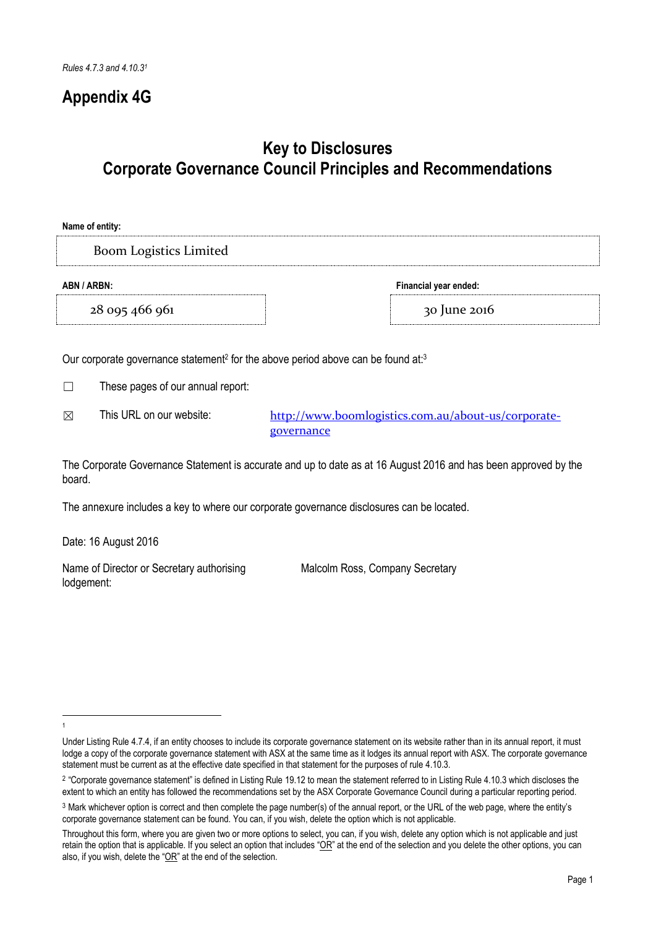# **Appendix 4G**

# **Key to Disclosures Corporate Governance Council Principles and Recommendations**

| Name of entity:                      |              |  |  |
|--------------------------------------|--------------|--|--|
| <b>Boom Logistics Limited</b>        |              |  |  |
| ABN / ARBN:<br>Financial year ended: |              |  |  |
| 28 095 466 961                       | 30 June 2016 |  |  |
|                                      |              |  |  |

Our corporate governance statement<sup>2</sup> for the above period above can be found at:<sup>3</sup>

☐ These pages of our annual report:

⊠ This URL on our website: [http://www.boomlogistics.com.au/about-us/corporate](http://www.boomlogistics.com.au/about-us/corporate-governance)[governance](http://www.boomlogistics.com.au/about-us/corporate-governance)

The Corporate Governance Statement is accurate and up to date as at 16 August 2016 and has been approved by the board.

The annexure includes a key to where our corporate governance disclosures can be located.

Date: 16 August 2016

Name of Director or Secretary authorising lodgement:

Malcolm Ross, Company Secretary

<sup>-</sup>1

Under Listing Rule 4.7.4, if an entity chooses to include its corporate governance statement on its website rather than in its annual report, it must lodge a copy of the corporate governance statement with ASX at the same time as it lodges its annual report with ASX. The corporate governance statement must be current as at the effective date specified in that statement for the purposes of rule 4.10.3.

<sup>2</sup> "Corporate governance statement" is defined in Listing Rule 19.12 to mean the statement referred to in Listing Rule 4.10.3 which discloses the extent to which an entity has followed the recommendations set by the ASX Corporate Governance Council during a particular reporting period.

<sup>3</sup> Mark whichever option is correct and then complete the page number(s) of the annual report, or the URL of the web page, where the entity's corporate governance statement can be found. You can, if you wish, delete the option which is not applicable.

Throughout this form, where you are given two or more options to select, you can, if you wish, delete any option which is not applicable and just retain the option that is applicable. If you select an option that includes " $OR$ " at the end of the selection and you delete the other options, you can also, if you wish, delete the "OR" at the end of the selection.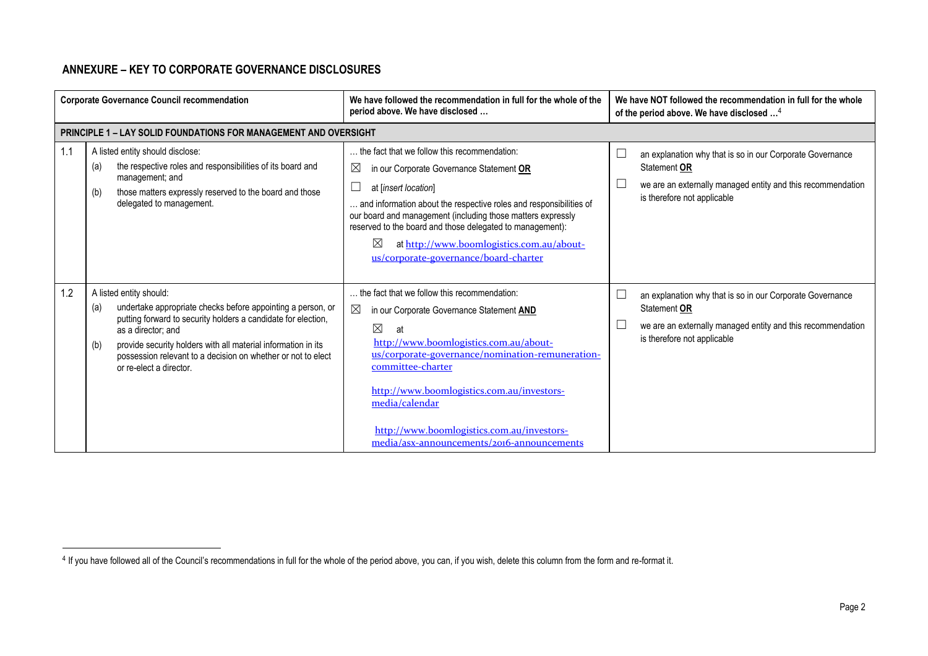# **ANNEXURE – KEY TO CORPORATE GOVERNANCE DISCLOSURES**

-

|     | <b>Corporate Governance Council recommendation</b>                                                                                                                                                                                                                                                                                                      | We have followed the recommendation in full for the whole of the<br>period above. We have disclosed                                                                                                                                                                                                                                                                                                                | We have NOT followed the recommendation in full for the whole<br>of the period above. We have disclosed <sup>4</sup>                                                                                            |
|-----|---------------------------------------------------------------------------------------------------------------------------------------------------------------------------------------------------------------------------------------------------------------------------------------------------------------------------------------------------------|--------------------------------------------------------------------------------------------------------------------------------------------------------------------------------------------------------------------------------------------------------------------------------------------------------------------------------------------------------------------------------------------------------------------|-----------------------------------------------------------------------------------------------------------------------------------------------------------------------------------------------------------------|
|     | <b>PRINCIPLE 1 - LAY SOLID FOUNDATIONS FOR MANAGEMENT AND OVERSIGHT</b>                                                                                                                                                                                                                                                                                 |                                                                                                                                                                                                                                                                                                                                                                                                                    |                                                                                                                                                                                                                 |
| 1.1 | A listed entity should disclose:<br>the respective roles and responsibilities of its board and<br>(a)<br>management; and<br>those matters expressly reserved to the board and those<br>(b)<br>delegated to management.                                                                                                                                  | the fact that we follow this recommendation:<br>⊠<br>in our Corporate Governance Statement OR<br>at [insert location]<br>and information about the respective roles and responsibilities of<br>our board and management (including those matters expressly<br>reserved to the board and those delegated to management):<br>⊠<br>at http://www.boomlogistics.com.au/about-<br>us/corporate-governance/board-charter | $\sqcup$<br>an explanation why that is so in our Corporate Governance<br>Statement OR<br>$\overline{\phantom{a}}$<br>we are an externally managed entity and this recommendation<br>is therefore not applicable |
| 1.2 | A listed entity should:<br>undertake appropriate checks before appointing a person, or<br>(a)<br>putting forward to security holders a candidate for election,<br>as a director: and<br>provide security holders with all material information in its<br>(b)<br>possession relevant to a decision on whether or not to elect<br>or re-elect a director. | the fact that we follow this recommendation:<br>$\boxtimes$<br>in our Corporate Governance Statement AND<br>$\boxtimes$<br>at<br>http://www.boomlogistics.com.au/about-<br>us/corporate-governance/nomination-remuneration-<br>committee-charter<br>http://www.boomlogistics.com.au/investors-<br>media/calendar<br>http://www.boomlogistics.com.au/investors-<br>media/asx-announcements/2016-announcements       | $\sqcup$<br>an explanation why that is so in our Corporate Governance<br>Statement OR<br>$\Box$<br>we are an externally managed entity and this recommendation<br>is therefore not applicable                   |

<sup>&</sup>lt;sup>4</sup> If you have followed all of the Council's recommendations in full for the whole of the period above, you can, if you wish, delete this column from the form and re-format it.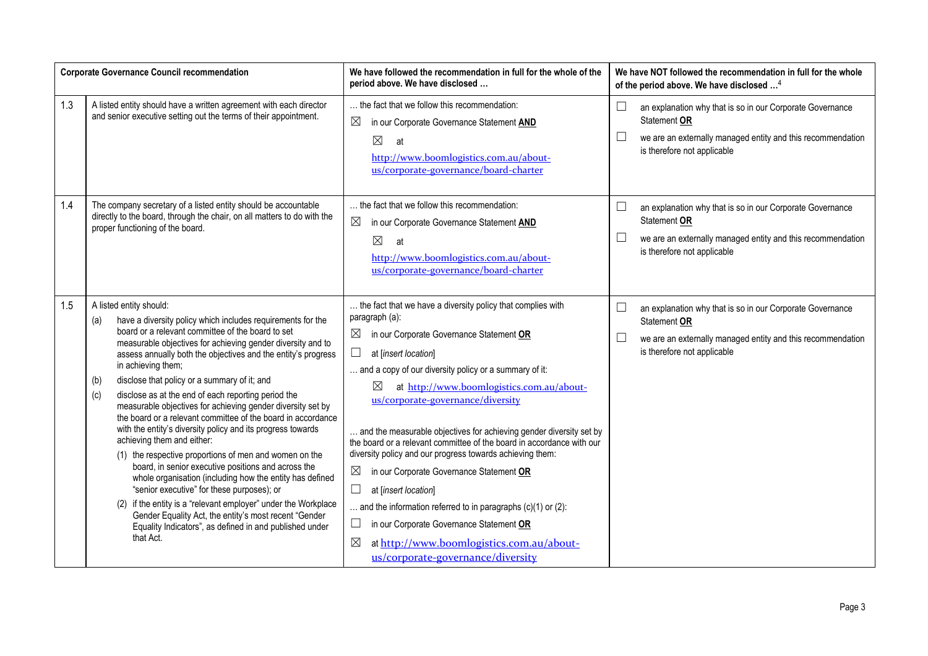|     | <b>Corporate Governance Council recommendation</b>                                                                                                                                                                                                                                                                                                                                                                                                                                                                                                                                                                                                                                                                                                                                                                                                                                                                                                                                                                                                                                         | We have followed the recommendation in full for the whole of the<br>period above. We have disclosed                                                                                                                                                                                                                                                                                                                                                                                                                                                                                                                                                                                                                                                                                                                                      | We have NOT followed the recommendation in full for the whole<br>of the period above. We have disclosed <sup>4</sup>                                                                        |
|-----|--------------------------------------------------------------------------------------------------------------------------------------------------------------------------------------------------------------------------------------------------------------------------------------------------------------------------------------------------------------------------------------------------------------------------------------------------------------------------------------------------------------------------------------------------------------------------------------------------------------------------------------------------------------------------------------------------------------------------------------------------------------------------------------------------------------------------------------------------------------------------------------------------------------------------------------------------------------------------------------------------------------------------------------------------------------------------------------------|------------------------------------------------------------------------------------------------------------------------------------------------------------------------------------------------------------------------------------------------------------------------------------------------------------------------------------------------------------------------------------------------------------------------------------------------------------------------------------------------------------------------------------------------------------------------------------------------------------------------------------------------------------------------------------------------------------------------------------------------------------------------------------------------------------------------------------------|---------------------------------------------------------------------------------------------------------------------------------------------------------------------------------------------|
| 1.3 | A listed entity should have a written agreement with each director<br>and senior executive setting out the terms of their appointment.                                                                                                                                                                                                                                                                                                                                                                                                                                                                                                                                                                                                                                                                                                                                                                                                                                                                                                                                                     | the fact that we follow this recommendation:<br>$\boxtimes$<br>in our Corporate Governance Statement AND<br>$\boxtimes$<br>at<br>http://www.boomlogistics.com.au/about-<br>us/corporate-governance/board-charter                                                                                                                                                                                                                                                                                                                                                                                                                                                                                                                                                                                                                         | an explanation why that is so in our Corporate Governance<br>⊔<br>Statement OR<br>we are an externally managed entity and this recommendation<br>$\Box$<br>is therefore not applicable      |
| 1.4 | The company secretary of a listed entity should be accountable<br>directly to the board, through the chair, on all matters to do with the<br>proper functioning of the board.                                                                                                                                                                                                                                                                                                                                                                                                                                                                                                                                                                                                                                                                                                                                                                                                                                                                                                              | the fact that we follow this recommendation:<br>in our Corporate Governance Statement AND<br>$\boxtimes$<br>$\boxtimes$<br>at<br>http://www.boomlogistics.com.au/about-<br>us/corporate-governance/board-charter                                                                                                                                                                                                                                                                                                                                                                                                                                                                                                                                                                                                                         | an explanation why that is so in our Corporate Governance<br>$\Box$<br>Statement OR<br>$\Box$<br>we are an externally managed entity and this recommendation<br>is therefore not applicable |
| 1.5 | A listed entity should:<br>have a diversity policy which includes requirements for the<br>(a)<br>board or a relevant committee of the board to set<br>measurable objectives for achieving gender diversity and to<br>assess annually both the objectives and the entity's progress<br>in achieving them;<br>disclose that policy or a summary of it; and<br>(b)<br>disclose as at the end of each reporting period the<br>(c)<br>measurable objectives for achieving gender diversity set by<br>the board or a relevant committee of the board in accordance<br>with the entity's diversity policy and its progress towards<br>achieving them and either:<br>(1) the respective proportions of men and women on the<br>board, in senior executive positions and across the<br>whole organisation (including how the entity has defined<br>"senior executive" for these purposes); or<br>if the entity is a "relevant employer" under the Workplace<br>(2)<br>Gender Equality Act, the entity's most recent "Gender<br>Equality Indicators", as defined in and published under<br>that Act. | the fact that we have a diversity policy that complies with<br>paragraph (a):<br>⊠<br>in our Corporate Governance Statement OR<br>$\Box$<br>at [insert location]<br>and a copy of our diversity policy or a summary of it:<br>$\boxtimes$<br>at http://www.boomlogistics.com.au/about-<br>us/corporate-governance/diversity<br>and the measurable objectives for achieving gender diversity set by<br>the board or a relevant committee of the board in accordance with our<br>diversity policy and our progress towards achieving them:<br>$\boxtimes$<br>in our Corporate Governance Statement OR<br>at [insert location]<br>and the information referred to in paragraphs $(c)(1)$ or $(2)$ :<br>in our Corporate Governance Statement OR<br>ப<br>at http://www.boomlogistics.com.au/about-<br>⊠<br>us/corporate-governance/diversity | an explanation why that is so in our Corporate Governance<br>$\Box$<br>Statement OR<br>we are an externally managed entity and this recommendation<br>$\Box$<br>is therefore not applicable |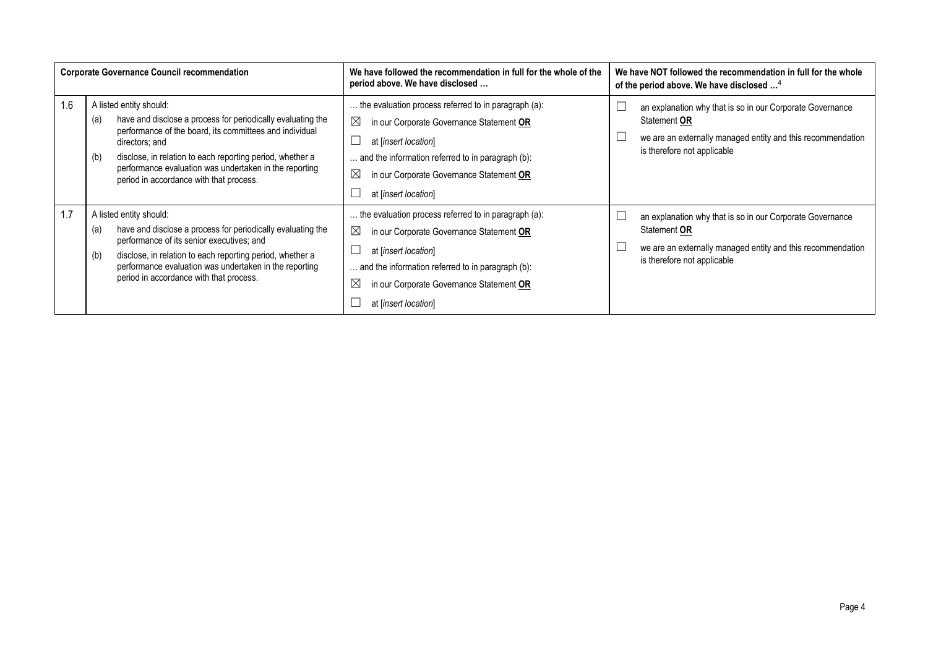|     | <b>Corporate Governance Council recommendation</b>                                                                                                                                                                                                                                                                                                  | We have followed the recommendation in full for the whole of the<br>period above. We have disclosed                                                                                                                                                                            | We have NOT followed the recommendation in full for the whole<br>of the period above. We have disclosed <sup>4</sup>                                                    |
|-----|-----------------------------------------------------------------------------------------------------------------------------------------------------------------------------------------------------------------------------------------------------------------------------------------------------------------------------------------------------|--------------------------------------------------------------------------------------------------------------------------------------------------------------------------------------------------------------------------------------------------------------------------------|-------------------------------------------------------------------------------------------------------------------------------------------------------------------------|
| 1.6 | A listed entity should:<br>have and disclose a process for periodically evaluating the<br>(a)<br>performance of the board, its committees and individual<br>directors; and<br>disclose, in relation to each reporting period, whether a<br>(b)<br>performance evaluation was undertaken in the reporting<br>period in accordance with that process. | the evaluation process referred to in paragraph (a):<br>$\boxtimes$<br>in our Corporate Governance Statement OR<br>at linsert location<br>and the information referred to in paragraph (b):<br>⊠<br>in our Corporate Governance Statement OR<br>at [insert location]           | an explanation why that is so in our Corporate Governance<br>Statement OR<br>we are an externally managed entity and this recommendation<br>is therefore not applicable |
| 1.7 | A listed entity should:<br>have and disclose a process for periodically evaluating the<br>(a)<br>performance of its senior executives; and<br>disclose, in relation to each reporting period, whether a<br>(b)<br>performance evaluation was undertaken in the reporting<br>period in accordance with that process.                                 | the evaluation process referred to in paragraph (a):<br>$\boxtimes$<br>in our Corporate Governance Statement OR<br>at [insert location]<br>and the information referred to in paragraph (b):<br>$\boxtimes$<br>in our Corporate Governance Statement OR<br>at linsert location | an explanation why that is so in our Corporate Governance<br>Statement OR<br>we are an externally managed entity and this recommendation<br>is therefore not applicable |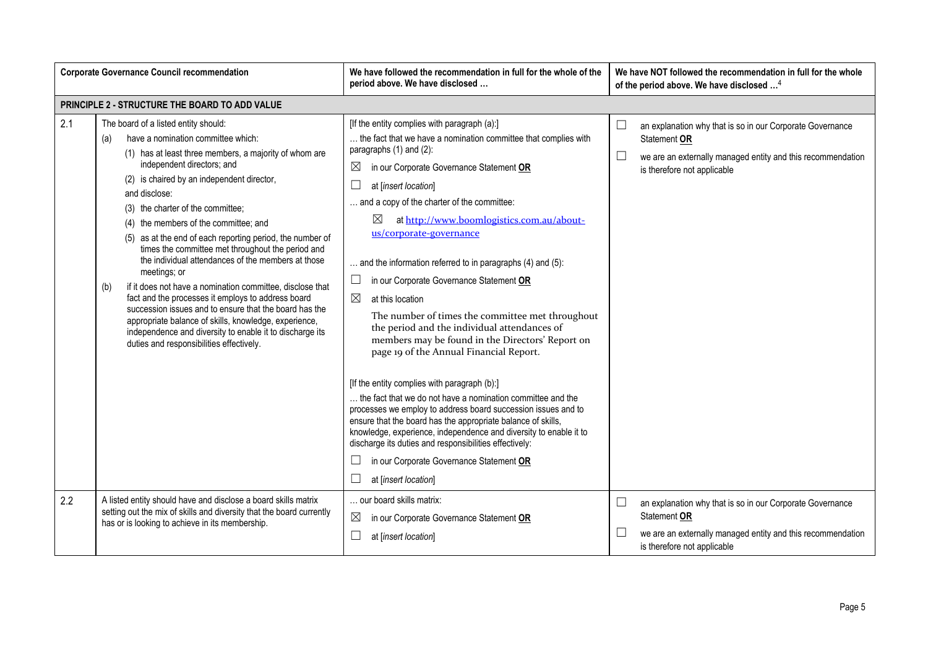|     | <b>Corporate Governance Council recommendation</b>                                                                                                                                                                                                                                                                                                                                                                                                                                                                                                                                                                                                                                                                                                                                                                                                                  | We have followed the recommendation in full for the whole of the<br>period above. We have disclosed                                                                                                                                                                                                                                                                                                                                                                                                                                                                                                                                                                                                                                                                                                                                                                                                                                                                                                                                                                                                                                                                         | We have NOT followed the recommendation in full for the whole<br>of the period above. We have disclosed <sup>4</sup>                                                                        |
|-----|---------------------------------------------------------------------------------------------------------------------------------------------------------------------------------------------------------------------------------------------------------------------------------------------------------------------------------------------------------------------------------------------------------------------------------------------------------------------------------------------------------------------------------------------------------------------------------------------------------------------------------------------------------------------------------------------------------------------------------------------------------------------------------------------------------------------------------------------------------------------|-----------------------------------------------------------------------------------------------------------------------------------------------------------------------------------------------------------------------------------------------------------------------------------------------------------------------------------------------------------------------------------------------------------------------------------------------------------------------------------------------------------------------------------------------------------------------------------------------------------------------------------------------------------------------------------------------------------------------------------------------------------------------------------------------------------------------------------------------------------------------------------------------------------------------------------------------------------------------------------------------------------------------------------------------------------------------------------------------------------------------------------------------------------------------------|---------------------------------------------------------------------------------------------------------------------------------------------------------------------------------------------|
|     | PRINCIPLE 2 - STRUCTURE THE BOARD TO ADD VALUE                                                                                                                                                                                                                                                                                                                                                                                                                                                                                                                                                                                                                                                                                                                                                                                                                      |                                                                                                                                                                                                                                                                                                                                                                                                                                                                                                                                                                                                                                                                                                                                                                                                                                                                                                                                                                                                                                                                                                                                                                             |                                                                                                                                                                                             |
| 2.1 | The board of a listed entity should:<br>have a nomination committee which:<br>(a)<br>(1) has at least three members, a majority of whom are<br>independent directors; and<br>(2) is chaired by an independent director,<br>and disclose:<br>(3) the charter of the committee;<br>(4) the members of the committee; and<br>(5) as at the end of each reporting period, the number of<br>times the committee met throughout the period and<br>the individual attendances of the members at those<br>meetings; or<br>if it does not have a nomination committee, disclose that<br>(b)<br>fact and the processes it employs to address board<br>succession issues and to ensure that the board has the<br>appropriate balance of skills, knowledge, experience,<br>independence and diversity to enable it to discharge its<br>duties and responsibilities effectively. | [If the entity complies with paragraph (a):]<br>the fact that we have a nomination committee that complies with<br>paragraphs $(1)$ and $(2)$ :<br>$\boxtimes$<br>in our Corporate Governance Statement OR<br>at [insert location]<br>and a copy of the charter of the committee:<br>$\boxtimes$<br>at http://www.boomlogistics.com.au/about-<br>us/corporate-governance<br>and the information referred to in paragraphs (4) and (5):<br>in our Corporate Governance Statement OR<br>$\boxtimes$<br>at this location<br>The number of times the committee met throughout<br>the period and the individual attendances of<br>members may be found in the Directors' Report on<br>page 19 of the Annual Financial Report.<br>[If the entity complies with paragraph (b):]<br>the fact that we do not have a nomination committee and the<br>processes we employ to address board succession issues and to<br>ensure that the board has the appropriate balance of skills,<br>knowledge, experience, independence and diversity to enable it to<br>discharge its duties and responsibilities effectively:<br>in our Corporate Governance Statement OR<br>at [insert location] | $\Box$<br>an explanation why that is so in our Corporate Governance<br>Statement OR<br>$\Box$<br>we are an externally managed entity and this recommendation<br>is therefore not applicable |
| 2.2 | A listed entity should have and disclose a board skills matrix<br>setting out the mix of skills and diversity that the board currently<br>has or is looking to achieve in its membership.                                                                                                                                                                                                                                                                                                                                                                                                                                                                                                                                                                                                                                                                           | our board skills matrix:<br>$\boxtimes$<br>in our Corporate Governance Statement OR<br>at [insert location]                                                                                                                                                                                                                                                                                                                                                                                                                                                                                                                                                                                                                                                                                                                                                                                                                                                                                                                                                                                                                                                                 | $\Box$<br>an explanation why that is so in our Corporate Governance<br>Statement OR<br>we are an externally managed entity and this recommendation<br>is therefore not applicable           |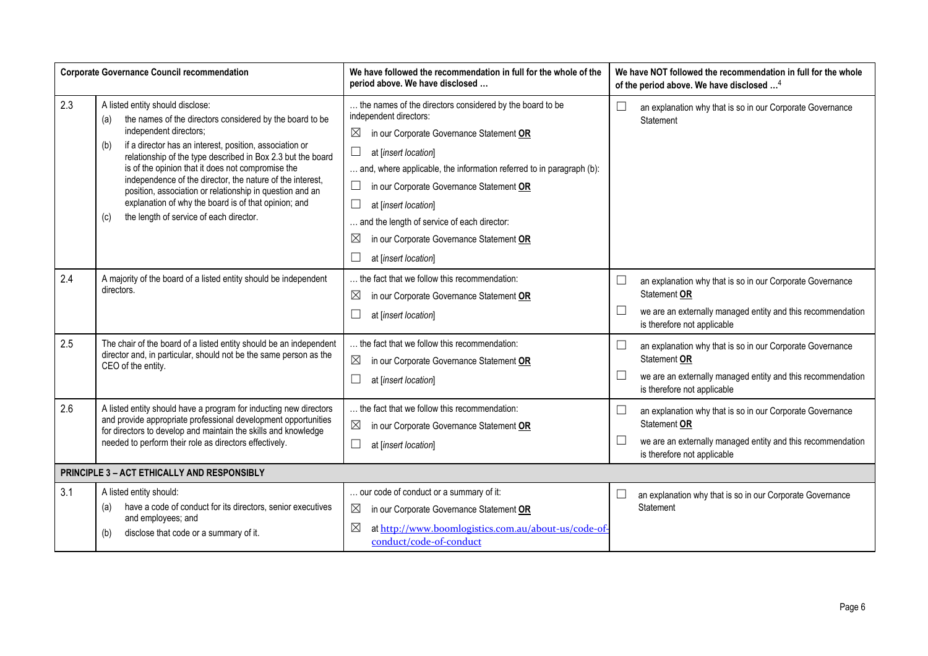|     | <b>Corporate Governance Council recommendation</b>                                                                                                                                                                                                                                                                                                                                                                                                                                                                                                     | We have followed the recommendation in full for the whole of the<br>period above. We have disclosed                                                                                                                                                                                                                                                                                                                                                 |                  | We have NOT followed the recommendation in full for the whole<br>of the period above. We have disclosed <sup>4</sup>                                                    |
|-----|--------------------------------------------------------------------------------------------------------------------------------------------------------------------------------------------------------------------------------------------------------------------------------------------------------------------------------------------------------------------------------------------------------------------------------------------------------------------------------------------------------------------------------------------------------|-----------------------------------------------------------------------------------------------------------------------------------------------------------------------------------------------------------------------------------------------------------------------------------------------------------------------------------------------------------------------------------------------------------------------------------------------------|------------------|-------------------------------------------------------------------------------------------------------------------------------------------------------------------------|
| 2.3 | A listed entity should disclose:<br>the names of the directors considered by the board to be<br>(a)<br>independent directors;<br>if a director has an interest, position, association or<br>(b)<br>relationship of the type described in Box 2.3 but the board<br>is of the opinion that it does not compromise the<br>independence of the director, the nature of the interest,<br>position, association or relationship in question and an<br>explanation of why the board is of that opinion; and<br>the length of service of each director.<br>(c) | the names of the directors considered by the board to be<br>independent directors:<br>$\boxtimes$<br>in our Corporate Governance Statement OR<br>at [insert location]<br>and, where applicable, the information referred to in paragraph (b):<br>in our Corporate Governance Statement OR<br>at [insert location]<br>and the length of service of each director:<br>$\boxtimes$<br>in our Corporate Governance Statement OR<br>at [insert location] | $\Box$           | an explanation why that is so in our Corporate Governance<br>Statement                                                                                                  |
| 2.4 | A majority of the board of a listed entity should be independent<br>directors.                                                                                                                                                                                                                                                                                                                                                                                                                                                                         | the fact that we follow this recommendation:<br>$\boxtimes$<br>in our Corporate Governance Statement OR<br>at [insert location]                                                                                                                                                                                                                                                                                                                     | $\Box$<br>ப      | an explanation why that is so in our Corporate Governance<br>Statement OR<br>we are an externally managed entity and this recommendation<br>is therefore not applicable |
| 2.5 | The chair of the board of a listed entity should be an independent<br>director and, in particular, should not be the same person as the<br>CEO of the entity.                                                                                                                                                                                                                                                                                                                                                                                          | the fact that we follow this recommendation:<br>$\boxtimes$<br>in our Corporate Governance Statement OR<br>at [insert location]                                                                                                                                                                                                                                                                                                                     | $\Box$<br>$\Box$ | an explanation why that is so in our Corporate Governance<br>Statement OR<br>we are an externally managed entity and this recommendation<br>is therefore not applicable |
| 2.6 | A listed entity should have a program for inducting new directors<br>and provide appropriate professional development opportunities<br>for directors to develop and maintain the skills and knowledge<br>needed to perform their role as directors effectively.                                                                                                                                                                                                                                                                                        | the fact that we follow this recommendation:<br>$\boxtimes$<br>in our Corporate Governance Statement OR<br>at [insert location]                                                                                                                                                                                                                                                                                                                     | L<br>L           | an explanation why that is so in our Corporate Governance<br>Statement OR<br>we are an externally managed entity and this recommendation<br>is therefore not applicable |
|     | PRINCIPLE 3 - ACT ETHICALLY AND RESPONSIBLY                                                                                                                                                                                                                                                                                                                                                                                                                                                                                                            |                                                                                                                                                                                                                                                                                                                                                                                                                                                     |                  |                                                                                                                                                                         |
| 3.1 | A listed entity should:<br>have a code of conduct for its directors, senior executives<br>(a)<br>and employees; and<br>disclose that code or a summary of it.<br>(b)                                                                                                                                                                                                                                                                                                                                                                                   | our code of conduct or a summary of it:<br>$\boxtimes$<br>in our Corporate Governance Statement OR<br>⊠<br>at http://www.boomlogistics.com.au/about-us/code-of-<br>conduct/code-of-conduct                                                                                                                                                                                                                                                          |                  | an explanation why that is so in our Corporate Governance<br>Statement                                                                                                  |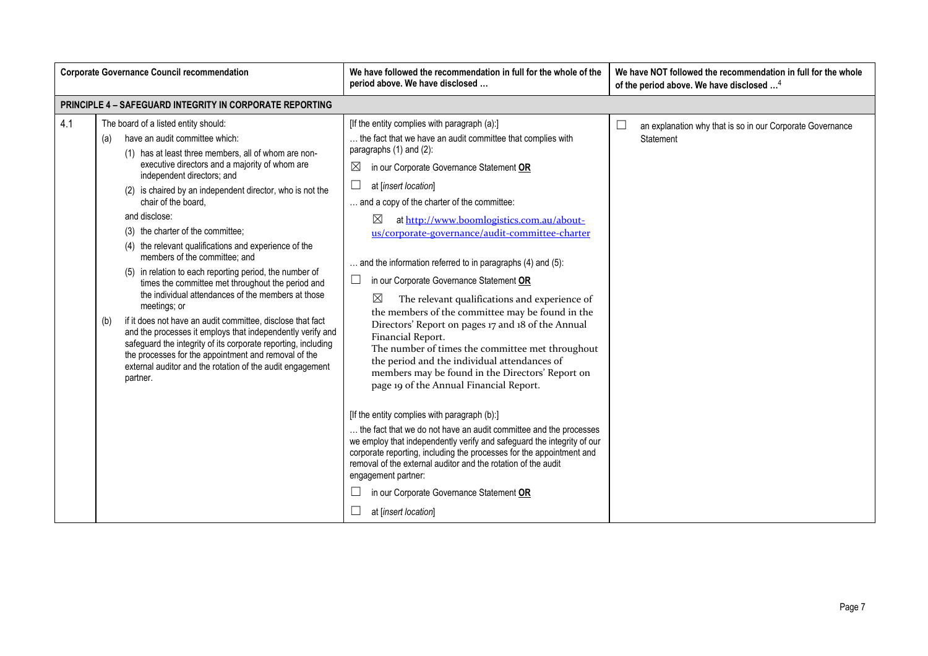|     | <b>Corporate Governance Council recommendation</b>                                                                                                                                                                                                                                                                                                                                                                                                                                                                                                                                                                                                                                                                                                                                                                                                                                                                                                                                   | We have followed the recommendation in full for the whole of the<br>period above. We have disclosed                                                                                                                                                                                                                                                                                                                                                                                                                                                                                                                                                                                                                                                                                                                                                                                                                                                                                                                                                                                                                                                                                                                                                                                                                               | We have NOT followed the recommendation in full for the whole<br>of the period above. We have disclosed <sup>4</sup> |
|-----|--------------------------------------------------------------------------------------------------------------------------------------------------------------------------------------------------------------------------------------------------------------------------------------------------------------------------------------------------------------------------------------------------------------------------------------------------------------------------------------------------------------------------------------------------------------------------------------------------------------------------------------------------------------------------------------------------------------------------------------------------------------------------------------------------------------------------------------------------------------------------------------------------------------------------------------------------------------------------------------|-----------------------------------------------------------------------------------------------------------------------------------------------------------------------------------------------------------------------------------------------------------------------------------------------------------------------------------------------------------------------------------------------------------------------------------------------------------------------------------------------------------------------------------------------------------------------------------------------------------------------------------------------------------------------------------------------------------------------------------------------------------------------------------------------------------------------------------------------------------------------------------------------------------------------------------------------------------------------------------------------------------------------------------------------------------------------------------------------------------------------------------------------------------------------------------------------------------------------------------------------------------------------------------------------------------------------------------|----------------------------------------------------------------------------------------------------------------------|
|     | <b>PRINCIPLE 4 - SAFEGUARD INTEGRITY IN CORPORATE REPORTING</b>                                                                                                                                                                                                                                                                                                                                                                                                                                                                                                                                                                                                                                                                                                                                                                                                                                                                                                                      |                                                                                                                                                                                                                                                                                                                                                                                                                                                                                                                                                                                                                                                                                                                                                                                                                                                                                                                                                                                                                                                                                                                                                                                                                                                                                                                                   |                                                                                                                      |
| 4.1 | The board of a listed entity should:<br>have an audit committee which:<br>(a)<br>(1) has at least three members, all of whom are non-<br>executive directors and a majority of whom are<br>independent directors; and<br>(2) is chaired by an independent director, who is not the<br>chair of the board.<br>and disclose:<br>(3) the charter of the committee;<br>(4) the relevant qualifications and experience of the<br>members of the committee; and<br>(5) in relation to each reporting period, the number of<br>times the committee met throughout the period and<br>the individual attendances of the members at those<br>meetings; or<br>if it does not have an audit committee, disclose that fact<br>(b)<br>and the processes it employs that independently verify and<br>safeguard the integrity of its corporate reporting, including<br>the processes for the appointment and removal of the<br>external auditor and the rotation of the audit engagement<br>partner. | [If the entity complies with paragraph (a):]<br>the fact that we have an audit committee that complies with<br>paragraphs $(1)$ and $(2)$ :<br>in our Corporate Governance Statement OR<br>$\boxtimes$<br>at [insert location]<br>and a copy of the charter of the committee:<br>⊠<br>at http://www.boomlogistics.com.au/about-<br>us/corporate-governance/audit-committee-charter<br>and the information referred to in paragraphs (4) and (5):<br>in our Corporate Governance Statement OR<br>$\boxtimes$<br>The relevant qualifications and experience of<br>the members of the committee may be found in the<br>Directors' Report on pages 17 and 18 of the Annual<br>Financial Report.<br>The number of times the committee met throughout<br>the period and the individual attendances of<br>members may be found in the Directors' Report on<br>page 19 of the Annual Financial Report.<br>[If the entity complies with paragraph (b):]<br>the fact that we do not have an audit committee and the processes<br>we employ that independently verify and safeguard the integrity of our<br>corporate reporting, including the processes for the appointment and<br>removal of the external auditor and the rotation of the audit<br>engagement partner:<br>in our Corporate Governance Statement OR<br>at [insert location] | an explanation why that is so in our Corporate Governance<br>Statement                                               |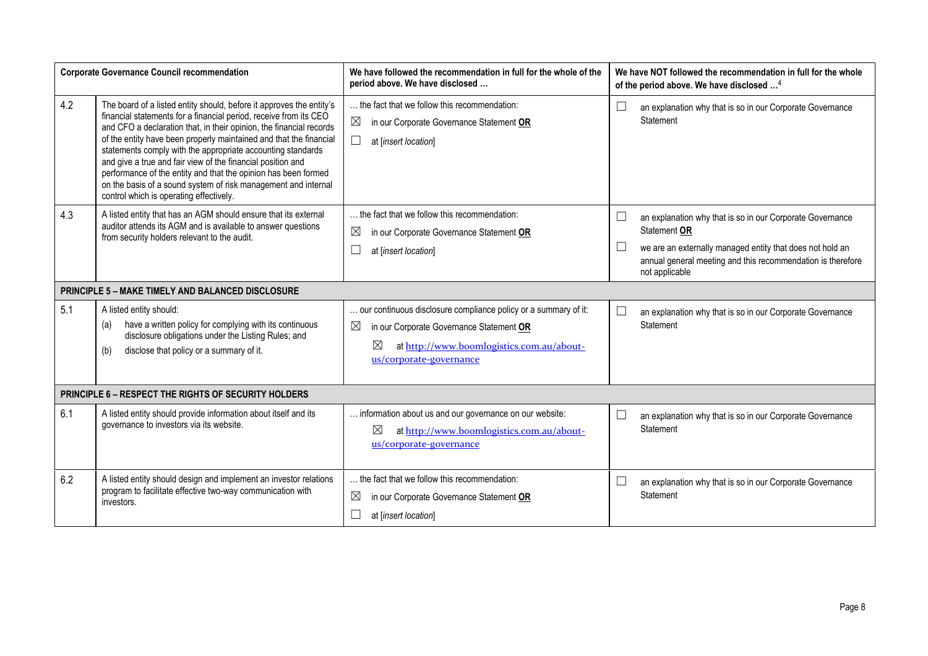|     | <b>Corporate Governance Council recommendation</b>                                                                                                                                                                                                                                                                                                                                                                                                                                                                                                                                                  | We have followed the recommendation in full for the whole of the<br>period above. We have disclosed                                                                                                               | We have NOT followed the recommendation in full for the whole<br>of the period above. We have disclosed <sup>4</sup>                                                                                                                                             |
|-----|-----------------------------------------------------------------------------------------------------------------------------------------------------------------------------------------------------------------------------------------------------------------------------------------------------------------------------------------------------------------------------------------------------------------------------------------------------------------------------------------------------------------------------------------------------------------------------------------------------|-------------------------------------------------------------------------------------------------------------------------------------------------------------------------------------------------------------------|------------------------------------------------------------------------------------------------------------------------------------------------------------------------------------------------------------------------------------------------------------------|
| 4.2 | The board of a listed entity should, before it approves the entity's<br>financial statements for a financial period, receive from its CEO<br>and CFO a declaration that, in their opinion, the financial records<br>of the entity have been properly maintained and that the financial<br>statements comply with the appropriate accounting standards<br>and give a true and fair view of the financial position and<br>performance of the entity and that the opinion has been formed<br>on the basis of a sound system of risk management and internal<br>control which is operating effectively. | the fact that we follow this recommendation:<br>$\boxtimes$<br>in our Corporate Governance Statement OR<br>Ш<br>at [insert location]                                                                              | an explanation why that is so in our Corporate Governance<br>∟<br>Statement                                                                                                                                                                                      |
| 4.3 | A listed entity that has an AGM should ensure that its external<br>auditor attends its AGM and is available to answer questions<br>from security holders relevant to the audit.                                                                                                                                                                                                                                                                                                                                                                                                                     | the fact that we follow this recommendation:<br>$\boxtimes$<br>in our Corporate Governance Statement OR<br>at [insert location]                                                                                   | an explanation why that is so in our Corporate Governance<br>Statement OR<br>we are an externally managed entity that does not hold an<br>$\begin{array}{c} \hline \end{array}$<br>annual general meeting and this recommendation is therefore<br>not applicable |
|     | <b>PRINCIPLE 5 - MAKE TIMELY AND BALANCED DISCLOSURE</b>                                                                                                                                                                                                                                                                                                                                                                                                                                                                                                                                            |                                                                                                                                                                                                                   |                                                                                                                                                                                                                                                                  |
| 5.1 | A listed entity should:<br>have a written policy for complying with its continuous<br>(a)<br>disclosure obligations under the Listing Rules; and<br>disclose that policy or a summary of it.<br>(b)                                                                                                                                                                                                                                                                                                                                                                                                 | our continuous disclosure compliance policy or a summary of it:<br>$\boxtimes$<br>in our Corporate Governance Statement OR<br>$\boxtimes$<br>at http://www.boomlogistics.com.au/about-<br>us/corporate-governance | an explanation why that is so in our Corporate Governance<br>Statement                                                                                                                                                                                           |
|     | PRINCIPLE 6 - RESPECT THE RIGHTS OF SECURITY HOLDERS                                                                                                                                                                                                                                                                                                                                                                                                                                                                                                                                                |                                                                                                                                                                                                                   |                                                                                                                                                                                                                                                                  |
| 6.1 | A listed entity should provide information about itself and its<br>governance to investors via its website.                                                                                                                                                                                                                                                                                                                                                                                                                                                                                         | information about us and our governance on our website:<br>⊠<br>at http://www.boomlogistics.com.au/about-<br>us/corporate-governance                                                                              | L<br>an explanation why that is so in our Corporate Governance<br>Statement                                                                                                                                                                                      |
| 6.2 | A listed entity should design and implement an investor relations<br>program to facilitate effective two-way communication with<br>investors.                                                                                                                                                                                                                                                                                                                                                                                                                                                       | the fact that we follow this recommendation:<br>$\boxtimes$<br>in our Corporate Governance Statement OR<br>at [insert location]                                                                                   | an explanation why that is so in our Corporate Governance<br>$\Box$<br>Statement                                                                                                                                                                                 |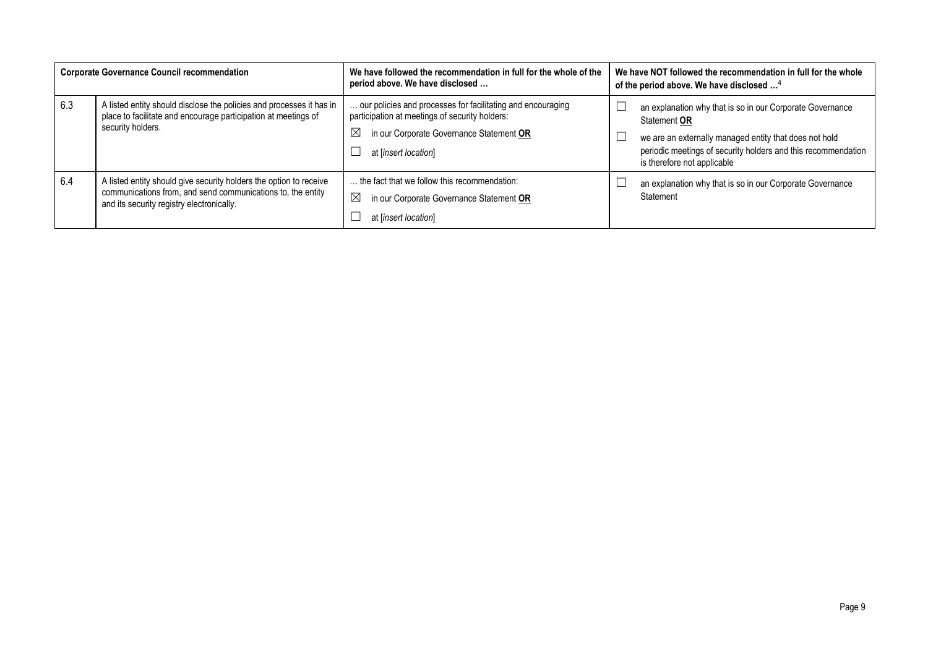|     | <b>Corporate Governance Council recommendation</b>                                                                                                                             | We have followed the recommendation in full for the whole of the<br>period above. We have disclosed                                                                                              | We have NOT followed the recommendation in full for the whole<br>of the period above. We have disclosed <sup>4</sup>                                                                                                                |
|-----|--------------------------------------------------------------------------------------------------------------------------------------------------------------------------------|--------------------------------------------------------------------------------------------------------------------------------------------------------------------------------------------------|-------------------------------------------------------------------------------------------------------------------------------------------------------------------------------------------------------------------------------------|
| 6.3 | A listed entity should disclose the policies and processes it has in<br>place to facilitate and encourage participation at meetings of<br>security holders.                    | our policies and processes for facilitating and encouraging<br>participation at meetings of security holders:<br>$\boxtimes$<br>in our Corporate Governance Statement OR<br>at [insert location] | an explanation why that is so in our Corporate Governance<br>Statement OR<br>we are an externally managed entity that does not hold<br>periodic meetings of security holders and this recommendation<br>is therefore not applicable |
| 6.4 | A listed entity should give security holders the option to receive<br>communications from, and send communications to, the entity<br>and its security registry electronically. | the fact that we follow this recommendation:<br>$\boxtimes$<br>in our Corporate Governance Statement OR<br>at [insert location]                                                                  | an explanation why that is so in our Corporate Governance<br>Statement                                                                                                                                                              |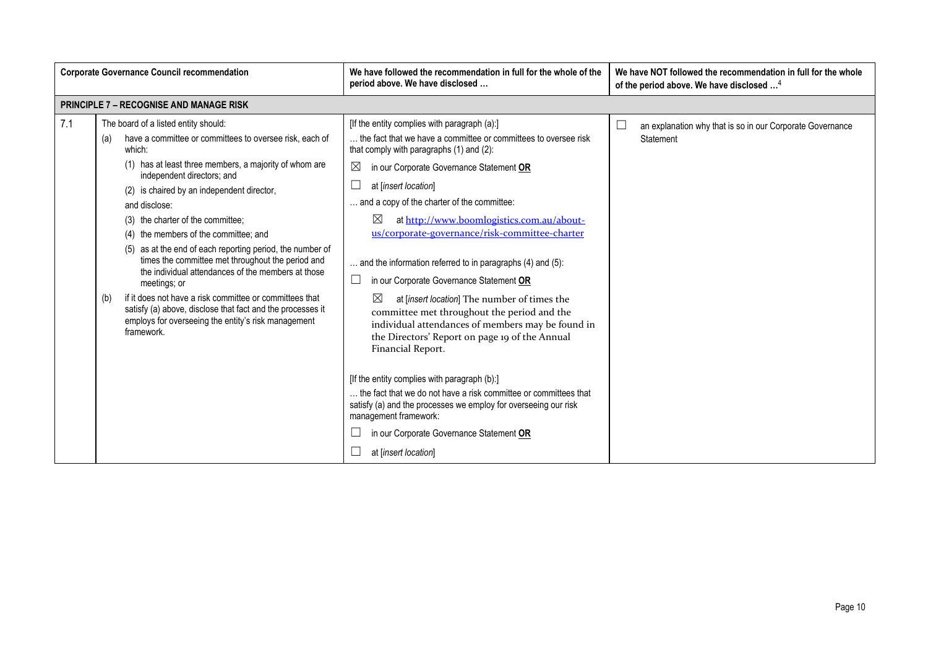|                   | <b>Corporate Governance Council recommendation</b>                                                                                                                                                                                                                                                                                                                                                                                                                                                                                                                                                                                                                                                                                   | We have followed the recommendation in full for the whole of the<br>period above. We have disclosed                                                                                                                                                                                                                                                                                                                                                                                                                                                                                                                                                                                                                                                                                                                                                                                                                                                                                                                                      | We have NOT followed the recommendation in full for the whole<br>of the period above. We have disclosed <sup>4</sup> |
|-------------------|--------------------------------------------------------------------------------------------------------------------------------------------------------------------------------------------------------------------------------------------------------------------------------------------------------------------------------------------------------------------------------------------------------------------------------------------------------------------------------------------------------------------------------------------------------------------------------------------------------------------------------------------------------------------------------------------------------------------------------------|------------------------------------------------------------------------------------------------------------------------------------------------------------------------------------------------------------------------------------------------------------------------------------------------------------------------------------------------------------------------------------------------------------------------------------------------------------------------------------------------------------------------------------------------------------------------------------------------------------------------------------------------------------------------------------------------------------------------------------------------------------------------------------------------------------------------------------------------------------------------------------------------------------------------------------------------------------------------------------------------------------------------------------------|----------------------------------------------------------------------------------------------------------------------|
|                   | <b>PRINCIPLE 7 - RECOGNISE AND MANAGE RISK</b>                                                                                                                                                                                                                                                                                                                                                                                                                                                                                                                                                                                                                                                                                       |                                                                                                                                                                                                                                                                                                                                                                                                                                                                                                                                                                                                                                                                                                                                                                                                                                                                                                                                                                                                                                          |                                                                                                                      |
| 7.1<br>(a)<br>(b) | The board of a listed entity should:<br>have a committee or committees to oversee risk, each of<br>which:<br>(1) has at least three members, a majority of whom are<br>independent directors; and<br>(2) is chaired by an independent director,<br>and disclose:<br>(3) the charter of the committee;<br>(4) the members of the committee; and<br>(5) as at the end of each reporting period, the number of<br>times the committee met throughout the period and<br>the individual attendances of the members at those<br>meetings; or<br>if it does not have a risk committee or committees that<br>satisfy (a) above, disclose that fact and the processes it<br>employs for overseeing the entity's risk management<br>framework. | [If the entity complies with paragraph (a):]<br>the fact that we have a committee or committees to oversee risk<br>that comply with paragraphs (1) and (2):<br>$\boxtimes$<br>in our Corporate Governance Statement OR<br>at [insert location]<br>and a copy of the charter of the committee:<br>⊠<br>at http://www.boomlogistics.com.au/about-<br>us/corporate-governance/risk-committee-charter<br>$\ldots$ and the information referred to in paragraphs (4) and (5):<br>in our Corporate Governance Statement OR<br>⊠<br>at [insert location] The number of times the<br>committee met throughout the period and the<br>individual attendances of members may be found in<br>the Directors' Report on page 19 of the Annual<br>Financial Report.<br>[If the entity complies with paragraph (b):]<br>the fact that we do not have a risk committee or committees that<br>satisfy (a) and the processes we employ for overseeing our risk<br>management framework:<br>in our Corporate Governance Statement OR<br>at [insert location] | $\Box$<br>an explanation why that is so in our Corporate Governance<br>Statement                                     |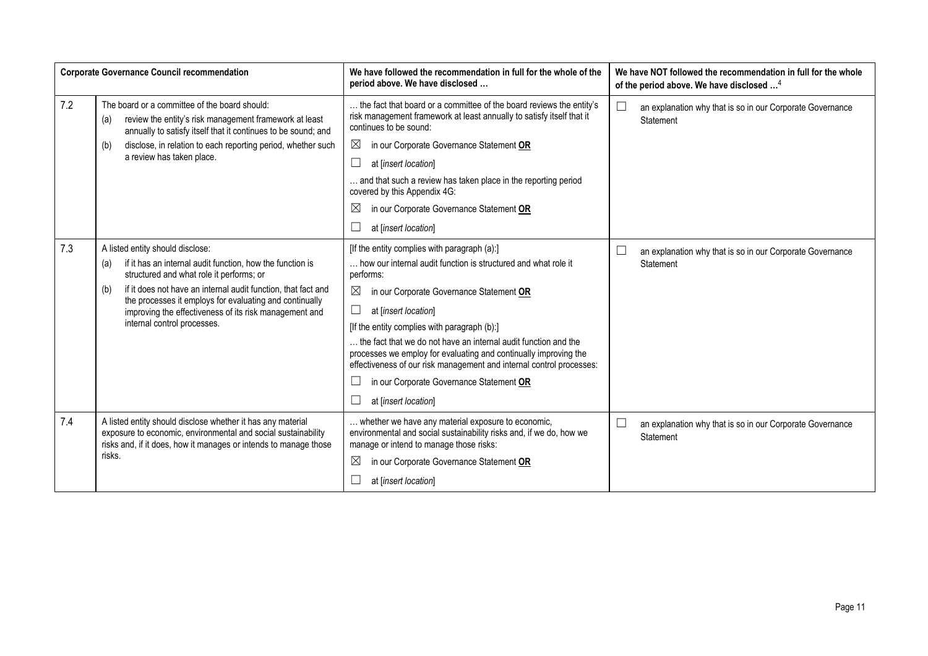|     | <b>Corporate Governance Council recommendation</b>                                                                                                                                                                                                                                                                                                                           | We have followed the recommendation in full for the whole of the<br>period above. We have disclosed                                                                                                                                                                                                                                                                                                                                                                                                                                               | We have NOT followed the recommendation in full for the whole<br>of the period above. We have disclosed <sup>4</sup> |
|-----|------------------------------------------------------------------------------------------------------------------------------------------------------------------------------------------------------------------------------------------------------------------------------------------------------------------------------------------------------------------------------|---------------------------------------------------------------------------------------------------------------------------------------------------------------------------------------------------------------------------------------------------------------------------------------------------------------------------------------------------------------------------------------------------------------------------------------------------------------------------------------------------------------------------------------------------|----------------------------------------------------------------------------------------------------------------------|
| 7.2 | The board or a committee of the board should:<br>review the entity's risk management framework at least<br>(a)<br>annually to satisfy itself that it continues to be sound; and                                                                                                                                                                                              | the fact that board or a committee of the board reviews the entity's<br>risk management framework at least annually to satisfy itself that it<br>continues to be sound:                                                                                                                                                                                                                                                                                                                                                                           | $\Box$<br>an explanation why that is so in our Corporate Governance<br>Statement                                     |
|     | disclose, in relation to each reporting period, whether such<br>(b)                                                                                                                                                                                                                                                                                                          | $\boxtimes$<br>in our Corporate Governance Statement OR                                                                                                                                                                                                                                                                                                                                                                                                                                                                                           |                                                                                                                      |
|     | a review has taken place.                                                                                                                                                                                                                                                                                                                                                    | at [insert location]                                                                                                                                                                                                                                                                                                                                                                                                                                                                                                                              |                                                                                                                      |
|     |                                                                                                                                                                                                                                                                                                                                                                              | and that such a review has taken place in the reporting period<br>covered by this Appendix 4G:                                                                                                                                                                                                                                                                                                                                                                                                                                                    |                                                                                                                      |
|     |                                                                                                                                                                                                                                                                                                                                                                              | in our Corporate Governance Statement OR<br>$\boxtimes$                                                                                                                                                                                                                                                                                                                                                                                                                                                                                           |                                                                                                                      |
|     |                                                                                                                                                                                                                                                                                                                                                                              | at [insert location]                                                                                                                                                                                                                                                                                                                                                                                                                                                                                                                              |                                                                                                                      |
| 7.3 | A listed entity should disclose:<br>if it has an internal audit function, how the function is<br>(a)<br>structured and what role it performs; or<br>if it does not have an internal audit function, that fact and<br>(b)<br>the processes it employs for evaluating and continually<br>improving the effectiveness of its risk management and<br>internal control processes. | [If the entity complies with paragraph (a):]<br>how our internal audit function is structured and what role it<br>performs:<br>$\boxtimes$<br>in our Corporate Governance Statement OR<br>at [insert location]<br>[If the entity complies with paragraph (b):]<br>the fact that we do not have an internal audit function and the<br>processes we employ for evaluating and continually improving the<br>effectiveness of our risk management and internal control processes:<br>in our Corporate Governance Statement OR<br>at [insert location] | $\Box$<br>an explanation why that is so in our Corporate Governance<br>Statement                                     |
| 7.4 | A listed entity should disclose whether it has any material<br>exposure to economic, environmental and social sustainability<br>risks and, if it does, how it manages or intends to manage those<br>risks.                                                                                                                                                                   | whether we have any material exposure to economic,<br>environmental and social sustainability risks and, if we do, how we<br>manage or intend to manage those risks:<br>$\boxtimes$<br>in our Corporate Governance Statement OR                                                                                                                                                                                                                                                                                                                   | $\Box$<br>an explanation why that is so in our Corporate Governance<br>Statement                                     |
|     |                                                                                                                                                                                                                                                                                                                                                                              | at [insert location]                                                                                                                                                                                                                                                                                                                                                                                                                                                                                                                              |                                                                                                                      |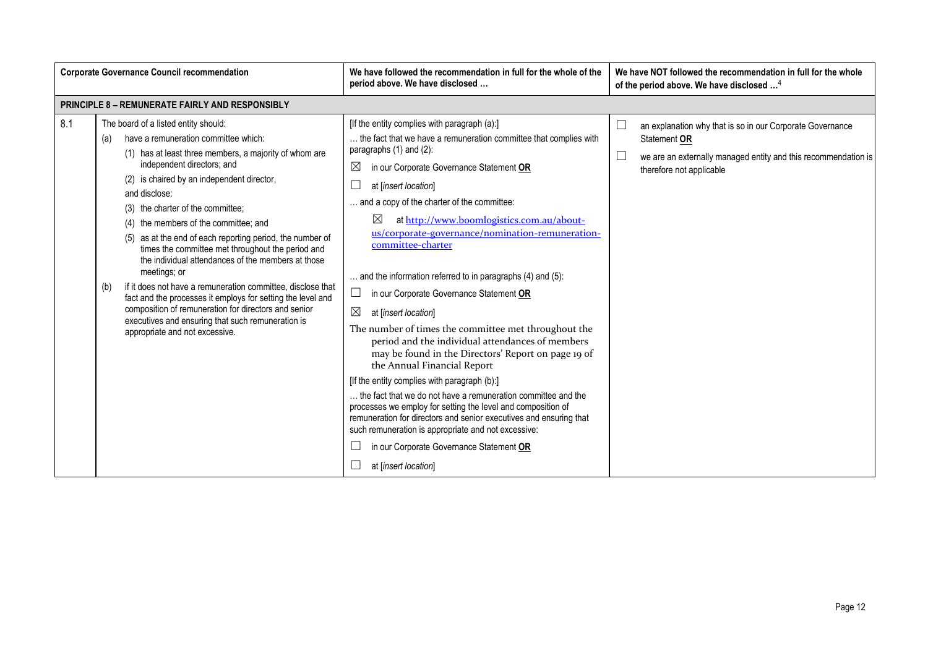|     | <b>Corporate Governance Council recommendation</b>                                                                                                                                                                                                                                                                                                                                                                                                                                                                                                                                                                                                                                                                                                                                                   | We have followed the recommendation in full for the whole of the<br>period above. We have disclosed                                                                                                                                                                                                                                                                                                                                                                                                                                                                                                                                                                                                                                                                                                                                                                                                                                                                                                                                                                                                                                       | We have NOT followed the recommendation in full for the whole<br>of the period above. We have disclosed <sup>4</sup>                                                    |
|-----|------------------------------------------------------------------------------------------------------------------------------------------------------------------------------------------------------------------------------------------------------------------------------------------------------------------------------------------------------------------------------------------------------------------------------------------------------------------------------------------------------------------------------------------------------------------------------------------------------------------------------------------------------------------------------------------------------------------------------------------------------------------------------------------------------|-------------------------------------------------------------------------------------------------------------------------------------------------------------------------------------------------------------------------------------------------------------------------------------------------------------------------------------------------------------------------------------------------------------------------------------------------------------------------------------------------------------------------------------------------------------------------------------------------------------------------------------------------------------------------------------------------------------------------------------------------------------------------------------------------------------------------------------------------------------------------------------------------------------------------------------------------------------------------------------------------------------------------------------------------------------------------------------------------------------------------------------------|-------------------------------------------------------------------------------------------------------------------------------------------------------------------------|
|     | <b>PRINCIPLE 8 - REMUNERATE FAIRLY AND RESPONSIBLY</b>                                                                                                                                                                                                                                                                                                                                                                                                                                                                                                                                                                                                                                                                                                                                               |                                                                                                                                                                                                                                                                                                                                                                                                                                                                                                                                                                                                                                                                                                                                                                                                                                                                                                                                                                                                                                                                                                                                           |                                                                                                                                                                         |
| 8.1 | The board of a listed entity should:<br>have a remuneration committee which:<br>(a)<br>(1) has at least three members, a majority of whom are<br>independent directors; and<br>(2) is chaired by an independent director,<br>and disclose:<br>(3) the charter of the committee;<br>(4) the members of the committee; and<br>(5) as at the end of each reporting period, the number of<br>times the committee met throughout the period and<br>the individual attendances of the members at those<br>meetings; or<br>if it does not have a remuneration committee, disclose that<br>(b)<br>fact and the processes it employs for setting the level and<br>composition of remuneration for directors and senior<br>executives and ensuring that such remuneration is<br>appropriate and not excessive. | [If the entity complies with paragraph (a):]<br>the fact that we have a remuneration committee that complies with<br>paragraphs $(1)$ and $(2)$ :<br>⊠<br>in our Corporate Governance Statement OR<br>at [insert location]<br>and a copy of the charter of the committee:<br>$\boxtimes$<br>at http://www.boomlogistics.com.au/about-<br>us/corporate-governance/nomination-remuneration-<br>committee-charter<br>and the information referred to in paragraphs (4) and (5):<br>in our Corporate Governance Statement OR<br>⊠<br>at [insert location]<br>The number of times the committee met throughout the<br>period and the individual attendances of members<br>may be found in the Directors' Report on page 19 of<br>the Annual Financial Report<br>[If the entity complies with paragraph (b):]<br>the fact that we do not have a remuneration committee and the<br>processes we employ for setting the level and composition of<br>remuneration for directors and senior executives and ensuring that<br>such remuneration is appropriate and not excessive:<br>in our Corporate Governance Statement OR<br>at [insert location] | an explanation why that is so in our Corporate Governance<br>Statement OR<br>we are an externally managed entity and this recommendation is<br>therefore not applicable |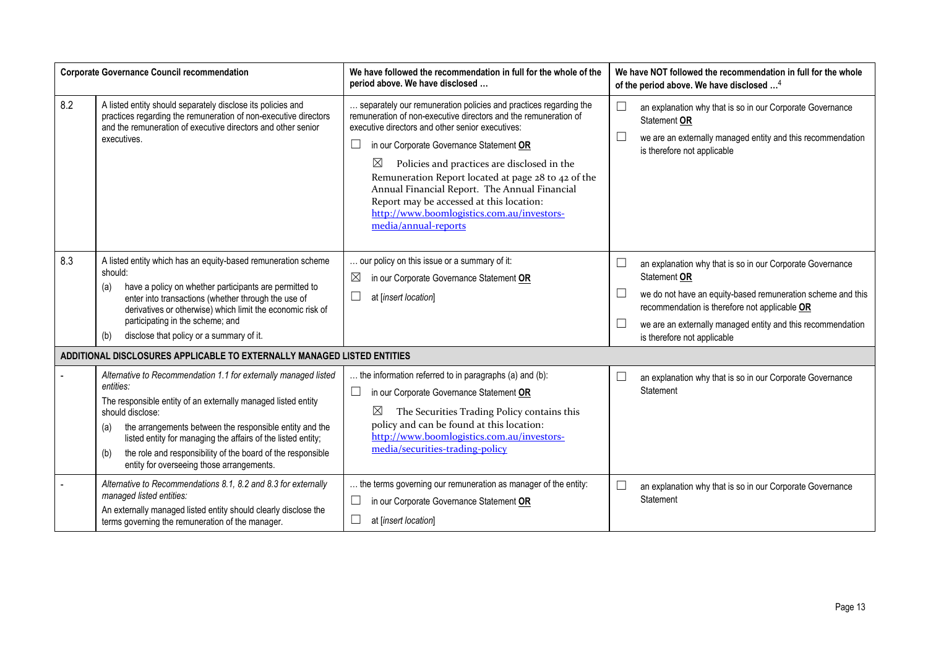| <b>Corporate Governance Council recommendation</b>                      |                                                                                                                                                                                                                                                                                                                                                                                                                        | We have followed the recommendation in full for the whole of the<br>period above. We have disclosed                                                                                                                                                                                                                                                                                                                                                                                                                              | We have NOT followed the recommendation in full for the whole<br>of the period above. We have disclosed <sup>4</sup>                                                                                                                                                                                                  |  |  |  |  |
|-------------------------------------------------------------------------|------------------------------------------------------------------------------------------------------------------------------------------------------------------------------------------------------------------------------------------------------------------------------------------------------------------------------------------------------------------------------------------------------------------------|----------------------------------------------------------------------------------------------------------------------------------------------------------------------------------------------------------------------------------------------------------------------------------------------------------------------------------------------------------------------------------------------------------------------------------------------------------------------------------------------------------------------------------|-----------------------------------------------------------------------------------------------------------------------------------------------------------------------------------------------------------------------------------------------------------------------------------------------------------------------|--|--|--|--|
| 8.2                                                                     | A listed entity should separately disclose its policies and<br>practices regarding the remuneration of non-executive directors<br>and the remuneration of executive directors and other senior<br>executives.                                                                                                                                                                                                          | separately our remuneration policies and practices regarding the<br>remuneration of non-executive directors and the remuneration of<br>executive directors and other senior executives:<br>in our Corporate Governance Statement OR<br>ப<br>$\boxtimes$<br>Policies and practices are disclosed in the<br>Remuneration Report located at page 28 to 42 of the<br>Annual Financial Report. The Annual Financial<br>Report may be accessed at this location:<br>http://www.boomlogistics.com.au/investors-<br>media/annual-reports | $\Box$<br>an explanation why that is so in our Corporate Governance<br>Statement OR<br>we are an externally managed entity and this recommendation<br>is therefore not applicable                                                                                                                                     |  |  |  |  |
| 8.3                                                                     | A listed entity which has an equity-based remuneration scheme<br>should:<br>have a policy on whether participants are permitted to<br>(a)<br>enter into transactions (whether through the use of<br>derivatives or otherwise) which limit the economic risk of<br>participating in the scheme; and<br>disclose that policy or a summary of it.<br>(b)                                                                  | our policy on this issue or a summary of it:<br>⊠<br>in our Corporate Governance Statement OR<br>$\Box$<br>at [insert location]                                                                                                                                                                                                                                                                                                                                                                                                  | $\Box$<br>an explanation why that is so in our Corporate Governance<br>Statement OR<br>$\Box$<br>we do not have an equity-based remuneration scheme and this<br>recommendation is therefore not applicable OR<br>$\Box$<br>we are an externally managed entity and this recommendation<br>is therefore not applicable |  |  |  |  |
| ADDITIONAL DISCLOSURES APPLICABLE TO EXTERNALLY MANAGED LISTED ENTITIES |                                                                                                                                                                                                                                                                                                                                                                                                                        |                                                                                                                                                                                                                                                                                                                                                                                                                                                                                                                                  |                                                                                                                                                                                                                                                                                                                       |  |  |  |  |
|                                                                         | Alternative to Recommendation 1.1 for externally managed listed<br>entities:<br>The responsible entity of an externally managed listed entity<br>should disclose:<br>the arrangements between the responsible entity and the<br>(a)<br>listed entity for managing the affairs of the listed entity;<br>the role and responsibility of the board of the responsible<br>(b)<br>entity for overseeing those arrangements. | the information referred to in paragraphs (a) and (b):<br>in our Corporate Governance Statement OR<br>⊔<br>$\boxtimes$<br>The Securities Trading Policy contains this<br>policy and can be found at this location:<br>http://www.boomlogistics.com.au/investors-<br>media/securities-trading-policy                                                                                                                                                                                                                              | L<br>an explanation why that is so in our Corporate Governance<br>Statement                                                                                                                                                                                                                                           |  |  |  |  |
|                                                                         | Alternative to Recommendations 8.1, 8.2 and 8.3 for externally<br>managed listed entities:<br>An externally managed listed entity should clearly disclose the<br>terms governing the remuneration of the manager.                                                                                                                                                                                                      | the terms governing our remuneration as manager of the entity:<br>in our Corporate Governance Statement OR<br>$\Box$<br>at [insert location]                                                                                                                                                                                                                                                                                                                                                                                     | $\Box$<br>an explanation why that is so in our Corporate Governance<br>Statement                                                                                                                                                                                                                                      |  |  |  |  |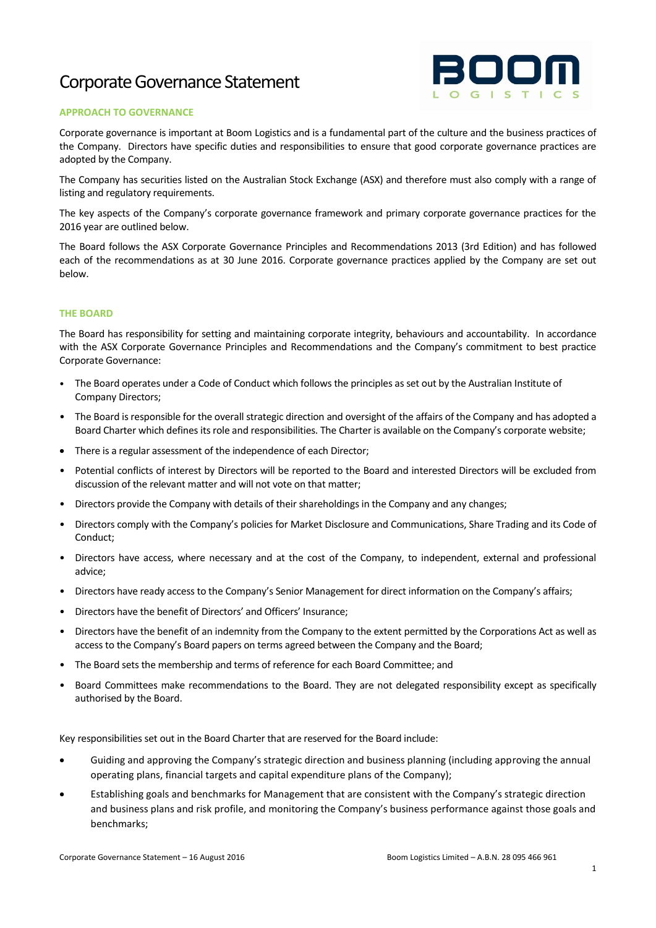# Corporate Governance Statement



### **APPROACH TO GOVERNANCE**

Corporate governance is important at Boom Logistics and is a fundamental part of the culture and the business practices of the Company. Directors have specific duties and responsibilities to ensure that good corporate governance practices are adopted by the Company.

The Company has securities listed on the Australian Stock Exchange (ASX) and therefore must also comply with a range of listing and regulatory requirements.

The key aspects of the Company's corporate governance framework and primary corporate governance practices for the 2016 year are outlined below.

The Board follows the ASX Corporate Governance Principles and Recommendations 2013 (3rd Edition) and has followed each of the recommendations as at 30 June 2016. Corporate governance practices applied by the Company are set out below.

### **THE BOARD**

The Board has responsibility for setting and maintaining corporate integrity, behaviours and accountability. In accordance with the ASX Corporate Governance Principles and Recommendations and the Company's commitment to best practice Corporate Governance:

- The Board operates under a Code of Conduct which follows the principles as set out by the Australian Institute of Company Directors;
- The Board is responsible for the overall strategic direction and oversight of the affairs of the Company and has adopted a Board Charter which defines itsrole and responsibilities. The Charter is available on the Company's corporate website;
- There is a regular assessment of the independence of each Director;
- Potential conflicts of interest by Directors will be reported to the Board and interested Directors will be excluded from discussion of the relevant matter and will not vote on that matter;
- Directors provide the Company with details of their shareholdings in the Company and any changes;
- Directors comply with the Company's policies for Market Disclosure and Communications, Share Trading and its Code of Conduct;
- Directors have access, where necessary and at the cost of the Company, to independent, external and professional advice;
- Directors have ready access to the Company's Senior Management for direct information on the Company's affairs;
- Directors have the benefit of Directors' and Officers' Insurance;
- Directors have the benefit of an indemnity from the Company to the extent permitted by the Corporations Act as well as access to the Company's Board papers on terms agreed between the Company and the Board;
- The Board sets the membership and terms of reference for each Board Committee; and
- Board Committees make recommendations to the Board. They are not delegated responsibility except as specifically authorised by the Board.

Key responsibilities set out in the Board Charter that are reserved for the Board include:

- Guiding and approving the Company's strategic direction and business planning (including approving the annual operating plans, financial targets and capital expenditure plans of the Company);
- Establishing goals and benchmarks for Management that are consistent with the Company's strategic direction and business plans and risk profile, and monitoring the Company's business performance against those goals and benchmarks;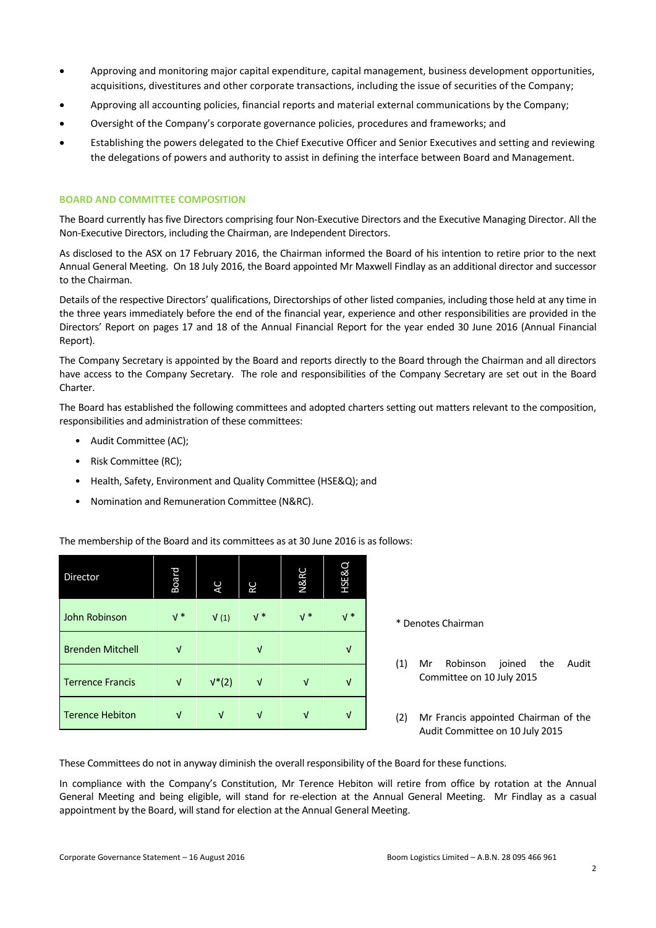- Approving and monitoring major capital expenditure, capital management, business development opportunities, acquisitions, divestitures and other corporate transactions, including the issue of securities of the Company;
- Approving all accounting policies, financial reports and material external communications by the Company;
- Oversight of the Company's corporate governance policies, procedures and frameworks; and
- Establishing the powers delegated to the Chief Executive Officer and Senior Executives and setting and reviewing the delegations of powers and authority to assist in defining the interface between Board and Management.

# **BOARD AND COMMITTEE COMPOSITION**

The Board currently has five Directors comprising four Non-Executive Directors and the Executive Managing Director. All the Non-Executive Directors, including the Chairman, are Independent Directors.

As disclosed to the ASX on 17 February 2016, the Chairman informed the Board of his intention to retire prior to the next Annual General Meeting. On 18 July 2016, the Board appointed Mr Maxwell Findlay as an additional director and successor to the Chairman.

Details of the respective Directors' qualifications, Directorships of other listed companies, including those held at any time in the three years immediately before the end of the financial year, experience and other responsibilities are provided in the Directors' Report on pages 17 and 18 of the Annual Financial Report for the year ended 30 June 2016 (Annual Financial Report).

The Company Secretary is appointed by the Board and reports directly to the Board through the Chairman and all directors have access to the Company Secretary. The role and responsibilities of the Company Secretary are set out in the Board Charter.

The Board has established the following committees and adopted charters setting out matters relevant to the composition, responsibilities and administration of these committees:

- Audit Committee (AC);
- Risk Committee (RC);
- Health, Safety, Environment and Quality Committee (HSE&Q); and
- Nomination and Remuneration Committee (N&RC).

| Director                | Board | AC       | RC    | <b>N&amp;RC</b> | <b>HSE&amp;Q</b> |
|-------------------------|-------|----------|-------|-----------------|------------------|
| John Robinson           | $V^*$ | V(1)     | $V^*$ | $V^*$           | $V^*$            |
| <b>Brenden Mitchell</b> | V     |          | V     |                 | V                |
| <b>Terrence Francis</b> | ν     | $V^*(2)$ | V     | V               | ν                |
| <b>Terence Hebiton</b>  | V     | V        | V     | V               |                  |

The membership of the Board and its committees as at 30 June 2016 is as follows:

\* Denotes Chairman

- (1) Mr Robinson joined the Audit Committee on 10 July 2015
- (2) Mr Francis appointed Chairman of the Audit Committee on 10 July 2015

These Committees do not in anyway diminish the overall responsibility of the Board for these functions.

In compliance with the Company's Constitution, Mr Terence Hebiton will retire from office by rotation at the Annual General Meeting and being eligible, will stand for re-election at the Annual General Meeting. Mr Findlay as a casual appointment by the Board, will stand for election at the Annual General Meeting.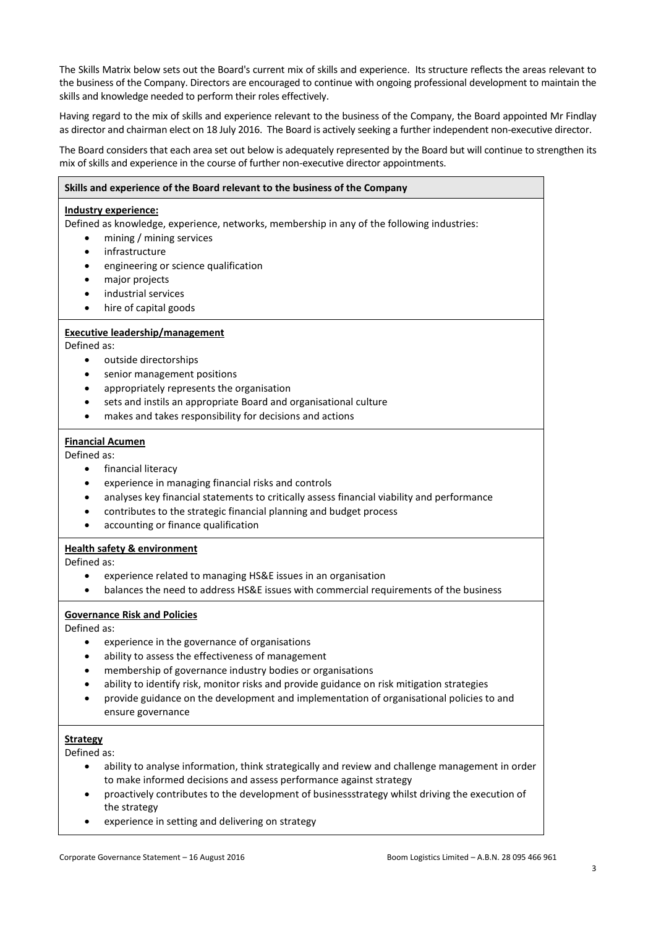The Skills Matrix below sets out the Board's current mix of skills and experience. Its structure reflects the areas relevant to the business of the Company. Directors are encouraged to continue with ongoing professional development to maintain the skills and knowledge needed to perform their roles effectively.

Having regard to the mix of skills and experience relevant to the business of the Company, the Board appointed Mr Findlay as director and chairman elect on 18 July 2016. The Board is actively seeking a further independent non-executive director.

The Board considers that each area set out below is adequately represented by the Board but will continue to strengthen its mix of skills and experience in the course of further non-executive director appointments.

# **Skills and experience of the Board relevant to the business of the Company Industry experience:** Defined as knowledge, experience, networks, membership in any of the following industries: mining / mining services infrastructure engineering or science qualification major projects industrial services hire of capital goods **Executive leadership/management** Defined as: outside directorships senior management positions appropriately represents the organisation sets and instils an appropriate Board and organisational culture makes and takes responsibility for decisions and actions **Financial Acumen** Defined as: financial literacy experience in managing financial risks and controls analyses key financial statements to critically assess financial viability and performance contributes to the strategic financial planning and budget process accounting or finance qualification **Health safety & environment** Defined as: experience related to managing HS&E issues in an organisation balances the need to address HS&E issues with commercial requirements of the business **Governance Risk and Policies** Defined as: experience in the governance of organisations ability to assess the effectiveness of management membership of governance industry bodies or organisations ability to identify risk, monitor risks and provide guidance on risk mitigation strategies provide guidance on the development and implementation of organisational policies to and ensure governance **Strategy** Defined as: ability to analyse information, think strategically and review and challenge management in order to make informed decisions and assess performance against strategy proactively contributes to the development of businessstrategy whilst driving the execution of the strategy

experience in setting and delivering on strategy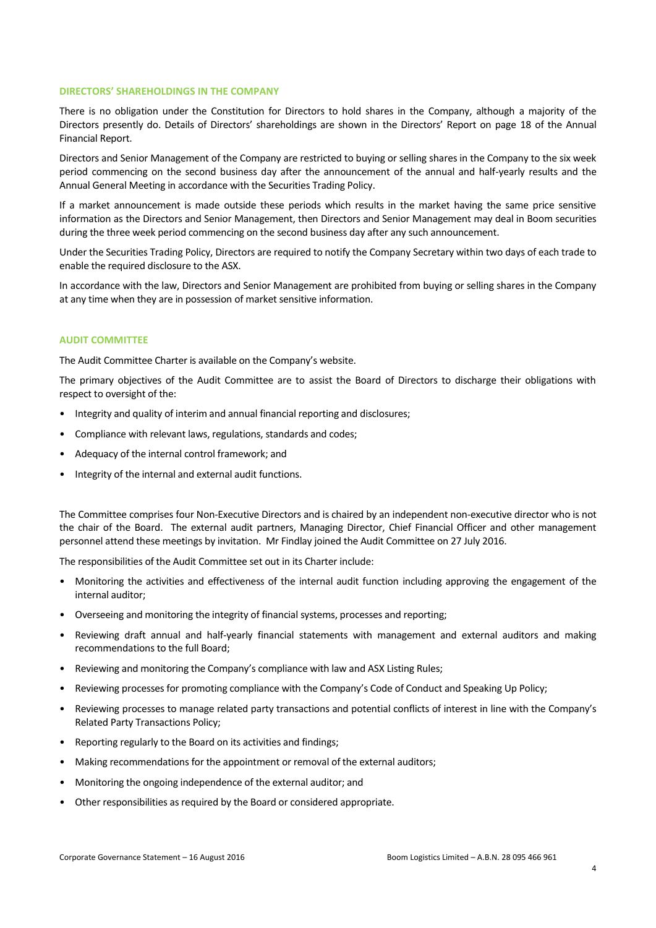#### **DIRECTORS' SHAREHOLDINGS IN THE COMPANY**

There is no obligation under the Constitution for Directors to hold shares in the Company, although a majority of the Directors presently do. Details of Directors' shareholdings are shown in the Directors' Report on page 18 of the Annual Financial Report.

Directors and Senior Management of the Company are restricted to buying or selling shares in the Company to the six week period commencing on the second business day after the announcement of the annual and half-yearly results and the Annual General Meeting in accordance with the Securities Trading Policy.

If a market announcement is made outside these periods which results in the market having the same price sensitive information as the Directors and Senior Management, then Directors and Senior Management may deal in Boom securities during the three week period commencing on the second business day after any such announcement.

Under the Securities Trading Policy, Directors are required to notify the Company Secretary within two days of each trade to enable the required disclosure to the ASX.

In accordance with the law, Directors and Senior Management are prohibited from buying or selling shares in the Company at any time when they are in possession of market sensitive information.

#### **AUDIT COMMITTEE**

The Audit Committee Charter is available on the Company's website.

The primary objectives of the Audit Committee are to assist the Board of Directors to discharge their obligations with respect to oversight of the:

- Integrity and quality of interim and annual financial reporting and disclosures;
- Compliance with relevant laws, regulations, standards and codes;
- Adequacy of the internal control framework; and
- Integrity of the internal and external audit functions.

The Committee comprises four Non-Executive Directors and is chaired by an independent non-executive director who is not the chair of the Board. The external audit partners, Managing Director, Chief Financial Officer and other management personnel attend these meetings by invitation. Mr Findlay joined the Audit Committee on 27 July 2016.

The responsibilities of the Audit Committee set out in its Charter include:

- Monitoring the activities and effectiveness of the internal audit function including approving the engagement of the internal auditor;
- Overseeing and monitoring the integrity of financial systems, processes and reporting;
- Reviewing draft annual and half-yearly financial statements with management and external auditors and making recommendations to the full Board;
- Reviewing and monitoring the Company's compliance with law and ASX Listing Rules;
- Reviewing processes for promoting compliance with the Company's Code of Conduct and Speaking Up Policy;
- Reviewing processes to manage related party transactions and potential conflicts of interest in line with the Company's Related Party Transactions Policy;
- Reporting regularly to the Board on its activities and findings;
- Making recommendations for the appointment or removal of the external auditors;
- Monitoring the ongoing independence of the external auditor; and
- Other responsibilities as required by the Board or considered appropriate.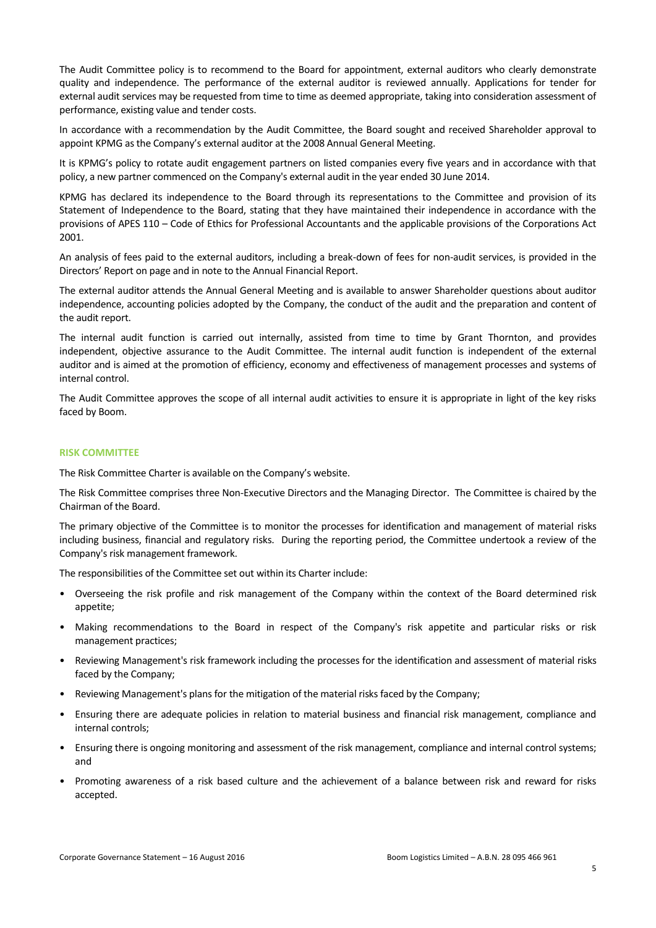The Audit Committee policy is to recommend to the Board for appointment, external auditors who clearly demonstrate quality and independence. The performance of the external auditor is reviewed annually. Applications for tender for external audit services may be requested from time to time as deemed appropriate, taking into consideration assessment of performance, existing value and tender costs.

In accordance with a recommendation by the Audit Committee, the Board sought and received Shareholder approval to appoint KPMG as the Company's external auditor at the 2008 Annual General Meeting.

It is KPMG's policy to rotate audit engagement partners on listed companies every five years and in accordance with that policy, a new partner commenced on the Company's external audit in the year ended 30 June 2014.

KPMG has declared its independence to the Board through its representations to the Committee and provision of its Statement of Independence to the Board, stating that they have maintained their independence in accordance with the provisions of APES 110 – Code of Ethics for Professional Accountants and the applicable provisions of the Corporations Act 2001.

An analysis of fees paid to the external auditors, including a break-down of fees for non-audit services, is provided in the Directors' Report on page and in note to the Annual Financial Report.

The external auditor attends the Annual General Meeting and is available to answer Shareholder questions about auditor independence, accounting policies adopted by the Company, the conduct of the audit and the preparation and content of the audit report.

The internal audit function is carried out internally, assisted from time to time by Grant Thornton, and provides independent, objective assurance to the Audit Committee. The internal audit function is independent of the external auditor and is aimed at the promotion of efficiency, economy and effectiveness of management processes and systems of internal control.

The Audit Committee approves the scope of all internal audit activities to ensure it is appropriate in light of the key risks faced by Boom.

#### **RISK COMMITTEE**

The Risk Committee Charter is available on the Company's website.

The Risk Committee comprises three Non-Executive Directors and the Managing Director. The Committee is chaired by the Chairman of the Board.

The primary objective of the Committee is to monitor the processes for identification and management of material risks including business, financial and regulatory risks. During the reporting period, the Committee undertook a review of the Company's risk management framework.

The responsibilities of the Committee set out within its Charter include:

- Overseeing the risk profile and risk management of the Company within the context of the Board determined risk appetite;
- Making recommendations to the Board in respect of the Company's risk appetite and particular risks or risk management practices;
- Reviewing Management's risk framework including the processes for the identification and assessment of material risks faced by the Company;
- Reviewing Management's plans for the mitigation of the material risks faced by the Company;
- Ensuring there are adequate policies in relation to material business and financial risk management, compliance and internal controls;
- Ensuring there is ongoing monitoring and assessment of the risk management, compliance and internal control systems; and
- Promoting awareness of a risk based culture and the achievement of a balance between risk and reward for risks accepted.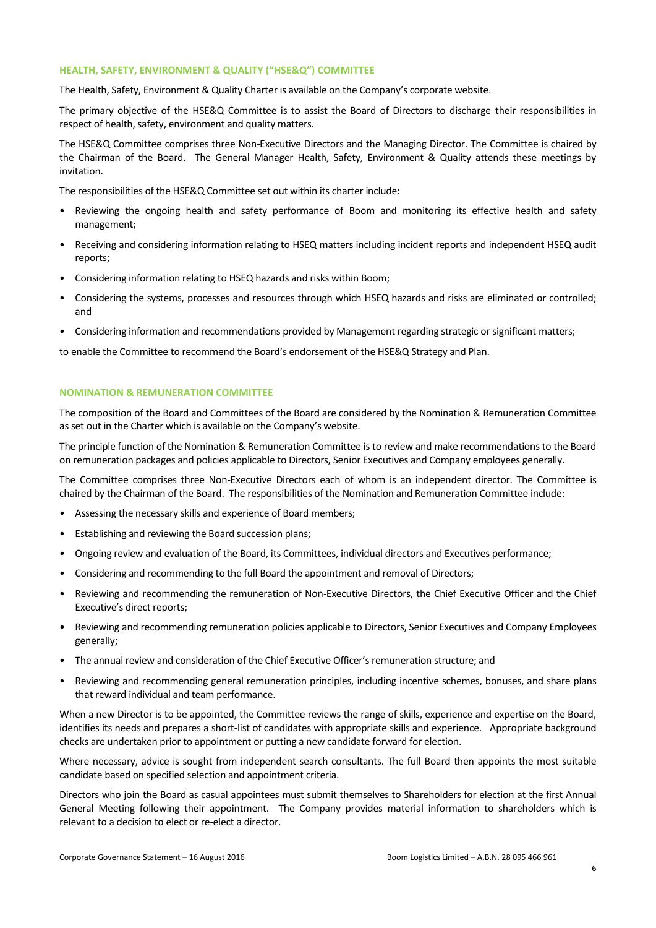#### **HEALTH, SAFETY, ENVIRONMENT & QUALITY ("HSE&Q") COMMITTEE**

The Health, Safety, Environment & Quality Charter is available on the Company's corporate website.

The primary objective of the HSE&Q Committee is to assist the Board of Directors to discharge their responsibilities in respect of health, safety, environment and quality matters.

The HSE&Q Committee comprises three Non-Executive Directors and the Managing Director. The Committee is chaired by the Chairman of the Board. The General Manager Health, Safety, Environment & Quality attends these meetings by invitation.

The responsibilities of the HSE&Q Committee set out within its charter include:

- Reviewing the ongoing health and safety performance of Boom and monitoring its effective health and safety management;
- Receiving and considering information relating to HSEQ matters including incident reports and independent HSEQ audit reports;
- Considering information relating to HSEQ hazards and risks within Boom;
- Considering the systems, processes and resources through which HSEQ hazards and risks are eliminated or controlled; and
- Considering information and recommendations provided by Management regarding strategic or significant matters;

to enable the Committee to recommend the Board's endorsement of the HSE&Q Strategy and Plan.

## **NOMINATION & REMUNERATION COMMITTEE**

The composition of the Board and Committees of the Board are considered by the Nomination & Remuneration Committee as set out in the Charter which is available on the Company's website.

The principle function of the Nomination & Remuneration Committee is to review and make recommendations to the Board on remuneration packages and policies applicable to Directors, Senior Executives and Company employees generally.

The Committee comprises three Non-Executive Directors each of whom is an independent director. The Committee is chaired by the Chairman of the Board. The responsibilities of the Nomination and Remuneration Committee include:

- Assessing the necessary skills and experience of Board members;
- Establishing and reviewing the Board succession plans;
- Ongoing review and evaluation of the Board, its Committees, individual directors and Executives performance;
- Considering and recommending to the full Board the appointment and removal of Directors;
- Reviewing and recommending the remuneration of Non-Executive Directors, the Chief Executive Officer and the Chief Executive's direct reports;
- Reviewing and recommending remuneration policies applicable to Directors, Senior Executives and Company Employees generally;
- The annual review and consideration of the Chief Executive Officer's remuneration structure; and
- Reviewing and recommending general remuneration principles, including incentive schemes, bonuses, and share plans that reward individual and team performance.

When a new Director is to be appointed, the Committee reviews the range of skills, experience and expertise on the Board, identifies its needs and prepares a short-list of candidates with appropriate skills and experience. Appropriate background checks are undertaken prior to appointment or putting a new candidate forward for election.

Where necessary, advice is sought from independent search consultants. The full Board then appoints the most suitable candidate based on specified selection and appointment criteria.

Directors who join the Board as casual appointees must submit themselves to Shareholders for election at the first Annual General Meeting following their appointment. The Company provides material information to shareholders which is relevant to a decision to elect or re-elect a director.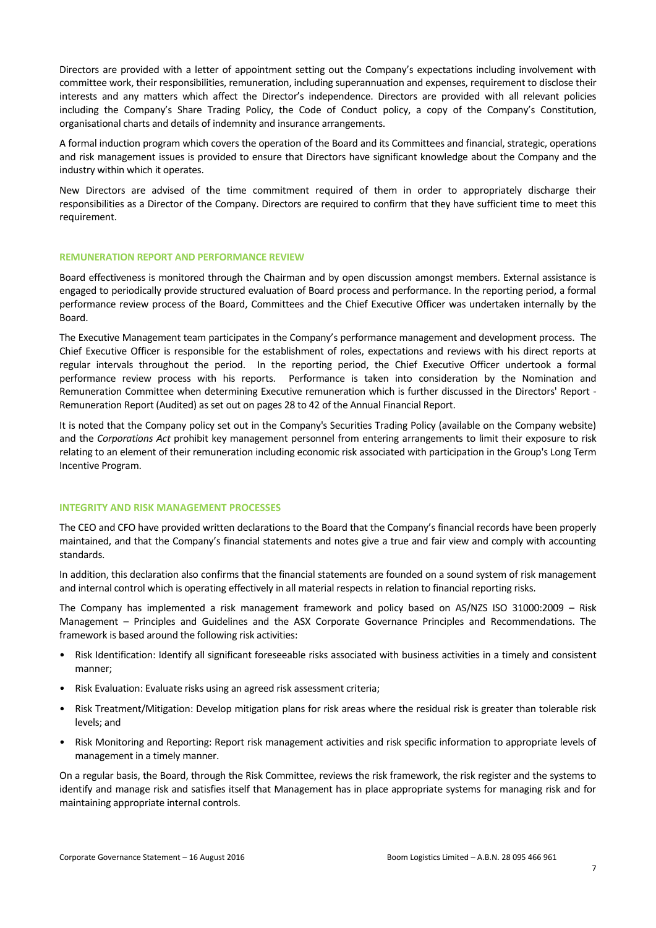Directors are provided with a letter of appointment setting out the Company's expectations including involvement with committee work, their responsibilities, remuneration, including superannuation and expenses, requirement to disclose their interests and any matters which affect the Director's independence. Directors are provided with all relevant policies including the Company's Share Trading Policy, the Code of Conduct policy, a copy of the Company's Constitution, organisational charts and details of indemnity and insurance arrangements.

A formal induction program which covers the operation of the Board and its Committees and financial, strategic, operations and risk management issues is provided to ensure that Directors have significant knowledge about the Company and the industry within which it operates.

New Directors are advised of the time commitment required of them in order to appropriately discharge their responsibilities as a Director of the Company. Directors are required to confirm that they have sufficient time to meet this requirement.

### **REMUNERATION REPORT AND PERFORMANCE REVIEW**

Board effectiveness is monitored through the Chairman and by open discussion amongst members. External assistance is engaged to periodically provide structured evaluation of Board process and performance. In the reporting period, a formal performance review process of the Board, Committees and the Chief Executive Officer was undertaken internally by the Board.

The Executive Management team participates in the Company's performance management and development process. The Chief Executive Officer is responsible for the establishment of roles, expectations and reviews with his direct reports at regular intervals throughout the period. In the reporting period, the Chief Executive Officer undertook a formal performance review process with his reports. Performance is taken into consideration by the Nomination and Remuneration Committee when determining Executive remuneration which is further discussed in the Directors' Report - Remuneration Report (Audited) as set out on pages 28 to 42 of the Annual Financial Report.

It is noted that the Company policy set out in the Company's Securities Trading Policy (available on the Company website) and the *Corporations Act* prohibit key management personnel from entering arrangements to limit their exposure to risk relating to an element of their remuneration including economic risk associated with participation in the Group's Long Term Incentive Program.

#### **INTEGRITY AND RISK MANAGEMENT PROCESSES**

The CEO and CFO have provided written declarations to the Board that the Company's financial records have been properly maintained, and that the Company's financial statements and notes give a true and fair view and comply with accounting standards.

In addition, this declaration also confirms that the financial statements are founded on a sound system of risk management and internal control which is operating effectively in all material respects in relation to financial reporting risks.

The Company has implemented a risk management framework and policy based on AS/NZS ISO 31000:2009 – Risk Management – Principles and Guidelines and the ASX Corporate Governance Principles and Recommendations. The framework is based around the following risk activities:

- Risk Identification: Identify all significant foreseeable risks associated with business activities in a timely and consistent manner;
- Risk Evaluation: Evaluate risks using an agreed risk assessment criteria;
- Risk Treatment/Mitigation: Develop mitigation plans for risk areas where the residual risk is greater than tolerable risk levels; and
- Risk Monitoring and Reporting: Report risk management activities and risk specific information to appropriate levels of management in a timely manner.

On a regular basis, the Board, through the Risk Committee, reviews the risk framework, the risk register and the systems to identify and manage risk and satisfies itself that Management has in place appropriate systems for managing risk and for maintaining appropriate internal controls.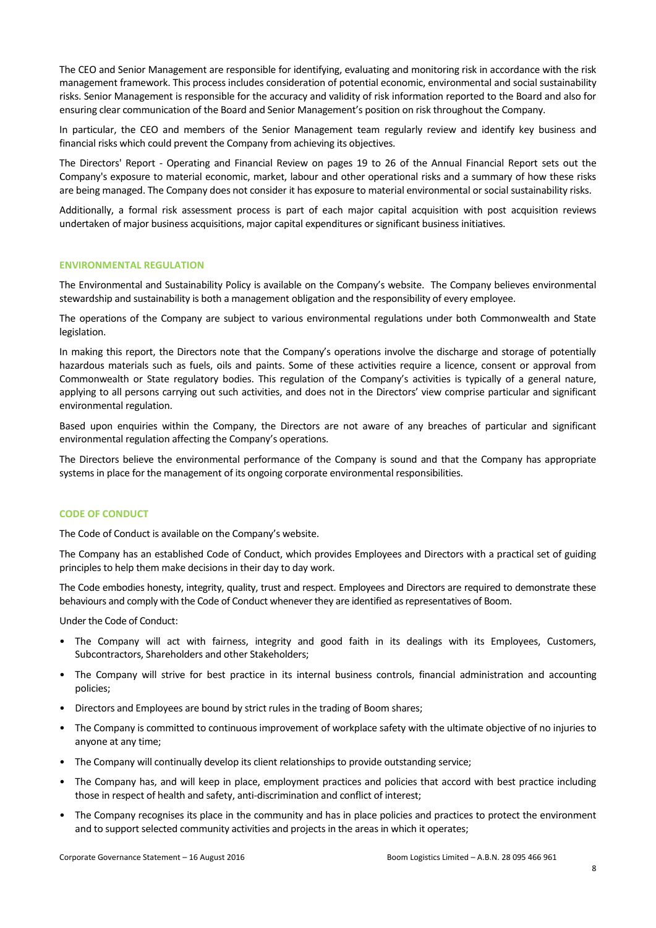The CEO and Senior Management are responsible for identifying, evaluating and monitoring risk in accordance with the risk management framework. This process includes consideration of potential economic, environmental and social sustainability risks. Senior Management is responsible for the accuracy and validity of risk information reported to the Board and also for ensuring clear communication of the Board and Senior Management's position on risk throughout the Company.

In particular, the CEO and members of the Senior Management team regularly review and identify key business and financial risks which could prevent the Company from achieving its objectives.

The Directors' Report - Operating and Financial Review on pages 19 to 26 of the Annual Financial Report sets out the Company's exposure to material economic, market, labour and other operational risks and a summary of how these risks are being managed. The Company does not consider it has exposure to material environmental or social sustainability risks.

Additionally, a formal risk assessment process is part of each major capital acquisition with post acquisition reviews undertaken of major business acquisitions, major capital expenditures or significant business initiatives.

## **ENVIRONMENTAL REGULATION**

The Environmental and Sustainability Policy is available on the Company's website. The Company believes environmental stewardship and sustainability is both a management obligation and the responsibility of every employee.

The operations of the Company are subject to various environmental regulations under both Commonwealth and State legislation.

In making this report, the Directors note that the Company's operations involve the discharge and storage of potentially hazardous materials such as fuels, oils and paints. Some of these activities require a licence, consent or approval from Commonwealth or State regulatory bodies. This regulation of the Company's activities is typically of a general nature, applying to all persons carrying out such activities, and does not in the Directors' view comprise particular and significant environmental regulation.

Based upon enquiries within the Company, the Directors are not aware of any breaches of particular and significant environmental regulation affecting the Company's operations.

The Directors believe the environmental performance of the Company is sound and that the Company has appropriate systems in place for the management of its ongoing corporate environmental responsibilities.

# **CODE OF CONDUCT**

The Code of Conduct is available on the Company's website.

The Company has an established Code of Conduct, which provides Employees and Directors with a practical set of guiding principles to help them make decisions in their day to day work.

The Code embodies honesty, integrity, quality, trust and respect. Employees and Directors are required to demonstrate these behaviours and comply with the Code of Conduct whenever they are identified as representatives of Boom.

Under the Code of Conduct:

- The Company will act with fairness, integrity and good faith in its dealings with its Employees, Customers, Subcontractors, Shareholders and other Stakeholders;
- The Company will strive for best practice in its internal business controls, financial administration and accounting policies;
- Directors and Employees are bound by strict rules in the trading of Boom shares;
- The Company is committed to continuous improvement of workplace safety with the ultimate objective of no injuries to anyone at any time;
- The Company will continually develop its client relationships to provide outstanding service;
- The Company has, and will keep in place, employment practices and policies that accord with best practice including those in respect of health and safety, anti-discrimination and conflict of interest;
- The Company recognises its place in the community and has in place policies and practices to protect the environment and to support selected community activities and projects in the areas in which it operates;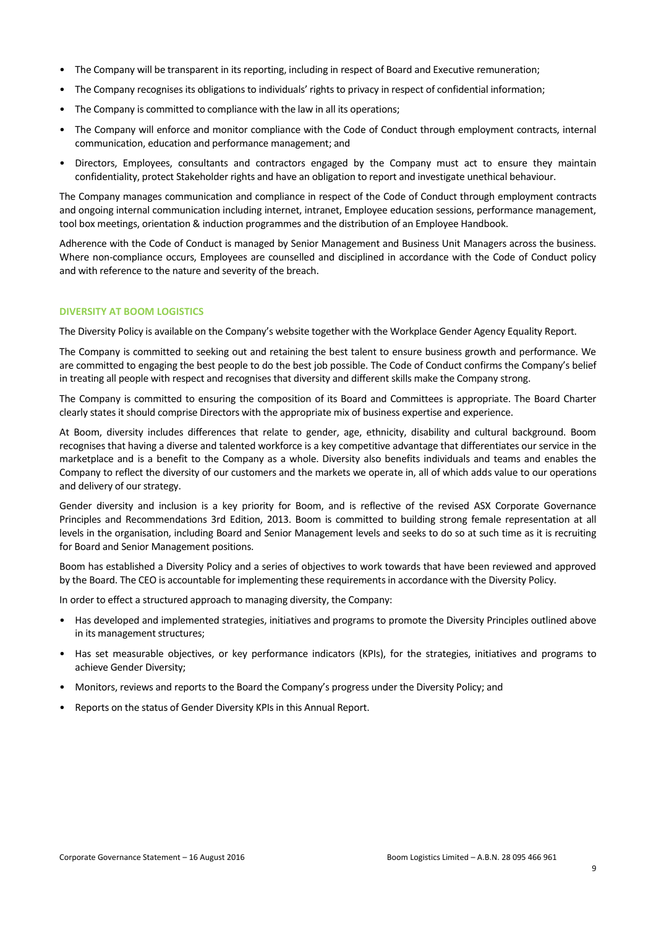- The Company will be transparent in its reporting, including in respect of Board and Executive remuneration;
- The Company recognises its obligations to individuals' rights to privacy in respect of confidential information;
- The Company is committed to compliance with the law in all its operations;
- The Company will enforce and monitor compliance with the Code of Conduct through employment contracts, internal communication, education and performance management; and
- Directors, Employees, consultants and contractors engaged by the Company must act to ensure they maintain confidentiality, protect Stakeholder rights and have an obligation to report and investigate unethical behaviour.

The Company manages communication and compliance in respect of the Code of Conduct through employment contracts and ongoing internal communication including internet, intranet, Employee education sessions, performance management, tool box meetings, orientation & induction programmes and the distribution of an Employee Handbook.

Adherence with the Code of Conduct is managed by Senior Management and Business Unit Managers across the business. Where non-compliance occurs, Employees are counselled and disciplined in accordance with the Code of Conduct policy and with reference to the nature and severity of the breach.

# **DIVERSITY AT BOOM LOGISTICS**

The Diversity Policy is available on the Company's website together with the Workplace Gender Agency Equality Report.

The Company is committed to seeking out and retaining the best talent to ensure business growth and performance. We are committed to engaging the best people to do the best job possible. The Code of Conduct confirms the Company's belief in treating all people with respect and recognises that diversity and different skills make the Company strong.

The Company is committed to ensuring the composition of its Board and Committees is appropriate. The Board Charter clearly states it should comprise Directors with the appropriate mix of business expertise and experience.

At Boom, diversity includes differences that relate to gender, age, ethnicity, disability and cultural background. Boom recognises that having a diverse and talented workforce is a key competitive advantage that differentiates our service in the marketplace and is a benefit to the Company as a whole. Diversity also benefits individuals and teams and enables the Company to reflect the diversity of our customers and the markets we operate in, all of which adds value to our operations and delivery of our strategy.

Gender diversity and inclusion is a key priority for Boom, and is reflective of the revised ASX Corporate Governance Principles and Recommendations 3rd Edition, 2013. Boom is committed to building strong female representation at all levels in the organisation, including Board and Senior Management levels and seeks to do so at such time as it is recruiting for Board and Senior Management positions.

Boom has established a Diversity Policy and a series of objectives to work towards that have been reviewed and approved by the Board. The CEO is accountable for implementing these requirements in accordance with the Diversity Policy.

In order to effect a structured approach to managing diversity, the Company:

- Has developed and implemented strategies, initiatives and programs to promote the Diversity Principles outlined above in its management structures;
- Has set measurable objectives, or key performance indicators (KPIs), for the strategies, initiatives and programs to achieve Gender Diversity;
- Monitors, reviews and reports to the Board the Company's progress under the Diversity Policy; and
- Reports on the status of Gender Diversity KPIs in this Annual Report.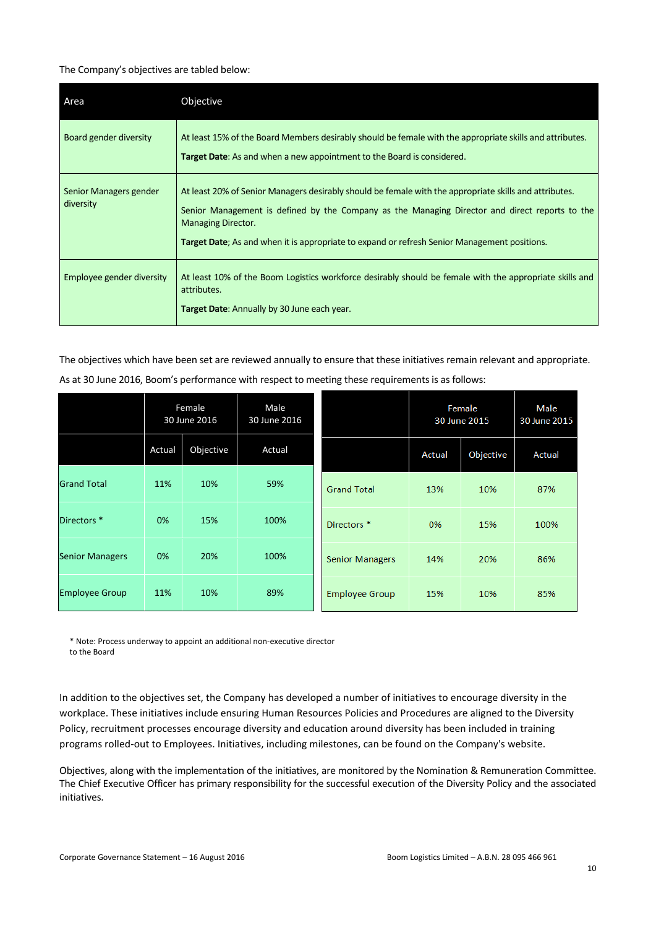#### The Company's objectives are tabled below:

| Area                                | Objective                                                                                                                                                                                                                                                                                                                      |
|-------------------------------------|--------------------------------------------------------------------------------------------------------------------------------------------------------------------------------------------------------------------------------------------------------------------------------------------------------------------------------|
| Board gender diversity              | At least 15% of the Board Members desirably should be female with the appropriate skills and attributes.<br><b>Target Date:</b> As and when a new appointment to the Board is considered.                                                                                                                                      |
| Senior Managers gender<br>diversity | At least 20% of Senior Managers desirably should be female with the appropriate skills and attributes.<br>Senior Management is defined by the Company as the Managing Director and direct reports to the<br>Managing Director.<br>Target Date; As and when it is appropriate to expand or refresh Senior Management positions. |
| Employee gender diversity           | At least 10% of the Boom Logistics workforce desirably should be female with the appropriate skills and<br>attributes.<br>Target Date: Annually by 30 June each year.                                                                                                                                                          |

The objectives which have been set are reviewed annually to ensure that these initiatives remain relevant and appropriate. As at 30 June 2016, Boom's performance with respect to meeting these requirements is as follows:

|                        | Female<br>30 June 2016 |           | Male<br>30 June 2016 |                        | Female<br>30 June 2015 |           | Male<br>30 June 2015 |
|------------------------|------------------------|-----------|----------------------|------------------------|------------------------|-----------|----------------------|
|                        | Actual                 | Objective | Actual               |                        | Actual                 | Objective | Actual               |
| <b>Grand Total</b>     | 11%                    | 10%       | 59%                  | <b>Grand Total</b>     | 13%                    | 10%       | 87%                  |
| Directors <sup>*</sup> | 0%                     | 15%       | 100%                 | Directors <sup>*</sup> | 0%                     | 15%       | 100%                 |
| <b>Senior Managers</b> | 0%                     | 20%       | 100%                 | <b>Senior Managers</b> | 14%                    | 20%       | 86%                  |
| <b>Employee Group</b>  | 11%                    | 10%       | 89%                  | <b>Employee Group</b>  | 15%                    | 10%       | 85%                  |

\* Note: Process underway to appoint an additional non-executive director to the Board

In addition to the objectives set, the Company has developed a number of initiatives to encourage diversity in the workplace. These initiatives include ensuring Human Resources Policies and Procedures are aligned to the Diversity Policy, recruitment processes encourage diversity and education around diversity has been included in training programs rolled-out to Employees. Initiatives, including milestones, can be found on the Company's website.

Objectives, along with the implementation of the initiatives, are monitored by the Nomination & Remuneration Committee. The Chief Executive Officer has primary responsibility for the successful execution of the Diversity Policy and the associated initiatives.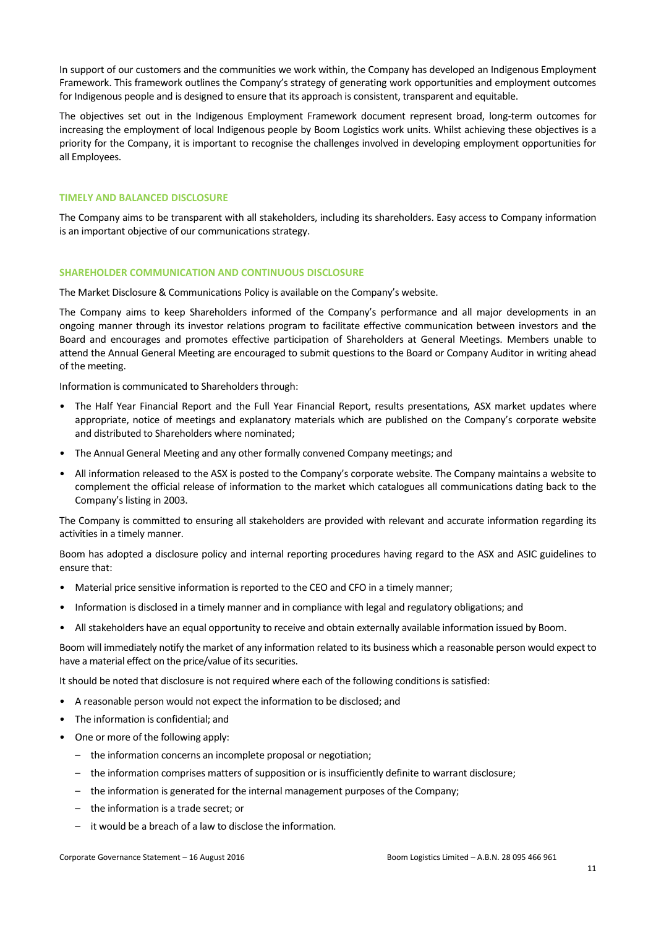In support of our customers and the communities we work within, the Company has developed an Indigenous Employment Framework. This framework outlines the Company's strategy of generating work opportunities and employment outcomes for Indigenous people and is designed to ensure that its approach is consistent, transparent and equitable.

The objectives set out in the Indigenous Employment Framework document represent broad, long-term outcomes for increasing the employment of local Indigenous people by Boom Logistics work units. Whilst achieving these objectives is a priority for the Company, it is important to recognise the challenges involved in developing employment opportunities for all Employees.

# **TIMELY AND BALANCED DISCLOSURE**

The Company aims to be transparent with all stakeholders, including its shareholders. Easy access to Company information is an important objective of our communications strategy.

### **SHAREHOLDER COMMUNICATION AND CONTINUOUS DISCLOSURE**

The Market Disclosure & Communications Policy is available on the Company's website.

The Company aims to keep Shareholders informed of the Company's performance and all major developments in an ongoing manner through its investor relations program to facilitate effective communication between investors and the Board and encourages and promotes effective participation of Shareholders at General Meetings. Members unable to attend the Annual General Meeting are encouraged to submit questions to the Board or Company Auditor in writing ahead of the meeting.

Information is communicated to Shareholders through:

- The Half Year Financial Report and the Full Year Financial Report, results presentations, ASX market updates where appropriate, notice of meetings and explanatory materials which are published on the Company's corporate website and distributed to Shareholders where nominated;
- The Annual General Meeting and any other formally convened Company meetings; and
- All information released to the ASX is posted to the Company's corporate website. The Company maintains a website to complement the official release of information to the market which catalogues all communications dating back to the Company's listing in 2003.

The Company is committed to ensuring all stakeholders are provided with relevant and accurate information regarding its activities in a timely manner.

Boom has adopted a disclosure policy and internal reporting procedures having regard to the ASX and ASIC guidelines to ensure that:

- Material price sensitive information is reported to the CEO and CFO in a timely manner;
- Information is disclosed in a timely manner and in compliance with legal and regulatory obligations; and
- All stakeholders have an equal opportunity to receive and obtain externally available information issued by Boom.

Boom will immediately notify the market of any information related to its business which a reasonable person would expect to have a material effect on the price/value of its securities.

It should be noted that disclosure is not required where each of the following conditions is satisfied:

- A reasonable person would not expect the information to be disclosed; and
- The information is confidential; and
- One or more of the following apply:
	- the information concerns an incomplete proposal or negotiation;
	- the information comprises matters of supposition or is insufficiently definite to warrant disclosure;
	- the information is generated for the internal management purposes of the Company;
	- the information is a trade secret; or
	- it would be a breach of a law to disclose the information.